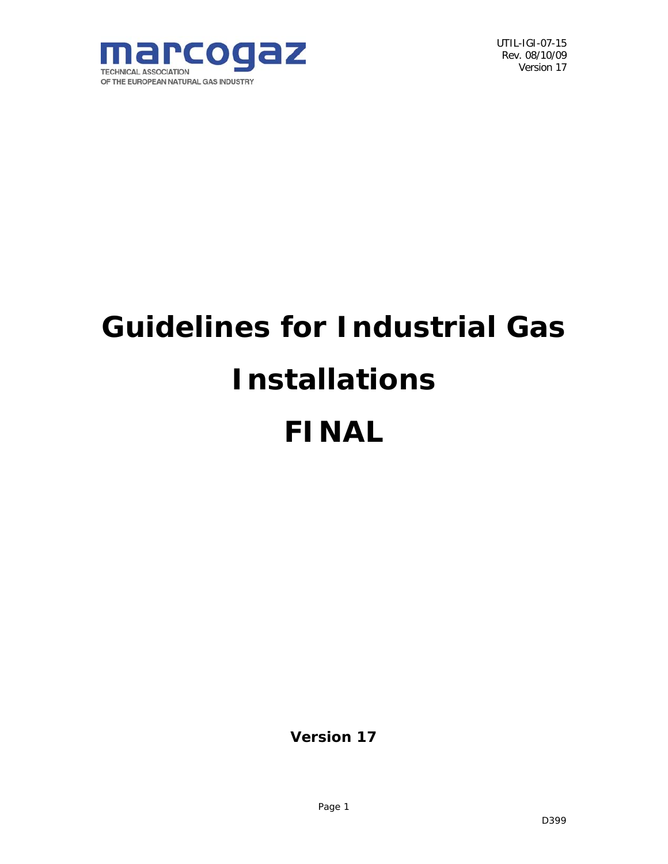

# **Guidelines for Industrial Gas Installations FINAL**

**Version 17**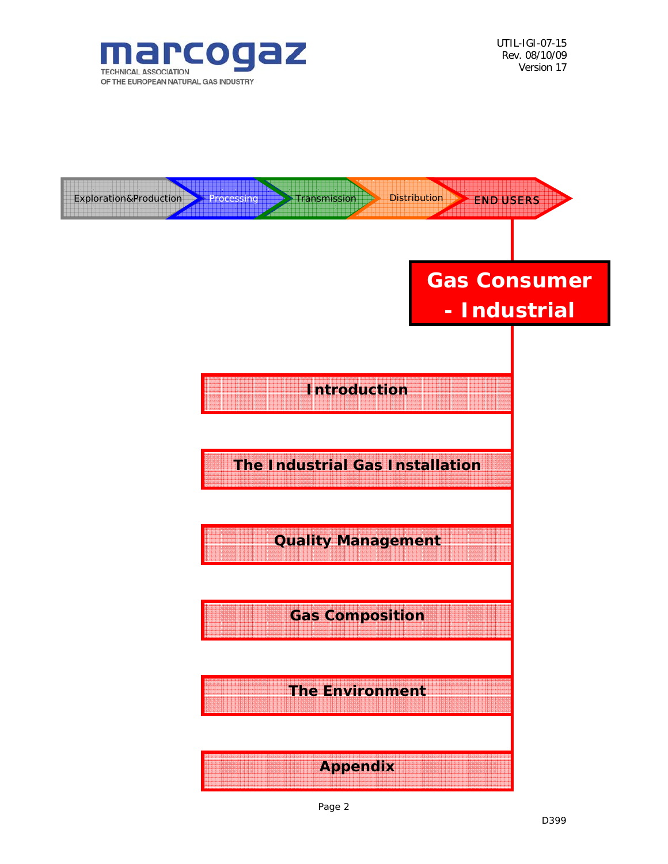

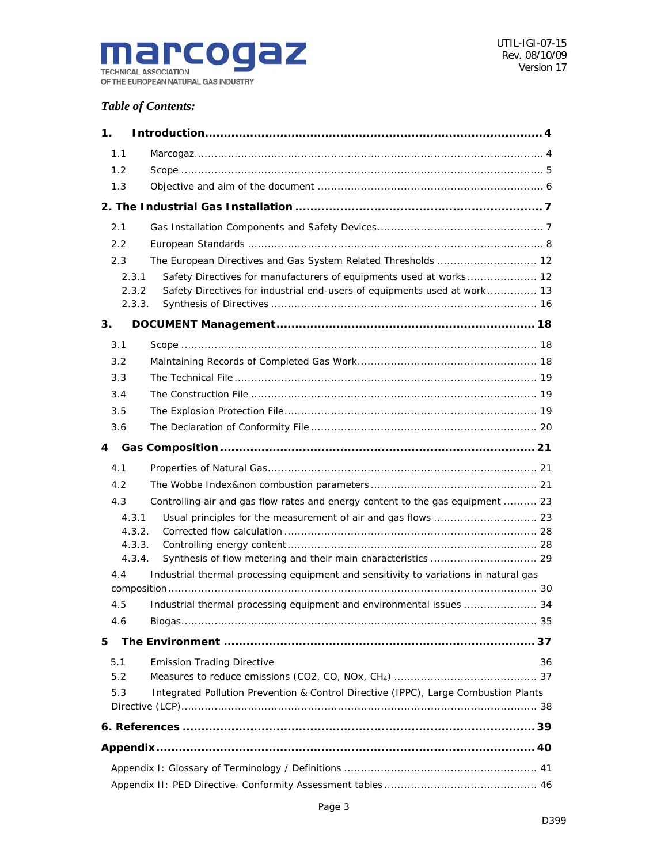

## *Table of Contents:*

| 1.  |                                                                                                |    |
|-----|------------------------------------------------------------------------------------------------|----|
| 1.1 |                                                                                                |    |
| 1.2 |                                                                                                |    |
| 1.3 |                                                                                                |    |
|     |                                                                                                |    |
| 2.1 |                                                                                                |    |
| 2.2 |                                                                                                |    |
| 2.3 | The European Directives and Gas System Related Thresholds  12                                  |    |
|     | Safety Directives for manufacturers of equipments used at works 12<br>2.3.1                    |    |
|     | Safety Directives for industrial end-users of equipments used at work 13<br>2.3.2              |    |
|     | 2.3.3.                                                                                         |    |
| 3.  |                                                                                                |    |
| 3.1 |                                                                                                |    |
| 3.2 |                                                                                                |    |
| 3.3 |                                                                                                |    |
| 3.4 |                                                                                                |    |
| 3.5 |                                                                                                |    |
| 3.6 |                                                                                                |    |
| 4   |                                                                                                |    |
| 4.1 |                                                                                                |    |
| 4.2 |                                                                                                |    |
| 4.3 | Controlling air and gas flow rates and energy content to the gas equipment  23                 |    |
|     | 4.3.1                                                                                          |    |
|     | 4.3.2.                                                                                         |    |
|     | 4.3.3.                                                                                         |    |
| 4.4 | 4.3.4.<br>Industrial thermal processing equipment and sensitivity to variations in natural gas |    |
|     |                                                                                                |    |
| 4.5 | Industrial thermal processing equipment and environmental issues  34                           |    |
| 4.6 |                                                                                                |    |
| 5   |                                                                                                |    |
| 5.1 | <b>Emission Trading Directive</b>                                                              | 36 |
| 5.2 |                                                                                                |    |
| 5.3 | Integrated Pollution Prevention & Control Directive (IPPC), Large Combustion Plants            |    |
|     |                                                                                                |    |
|     |                                                                                                |    |
|     |                                                                                                |    |
|     |                                                                                                |    |
|     |                                                                                                |    |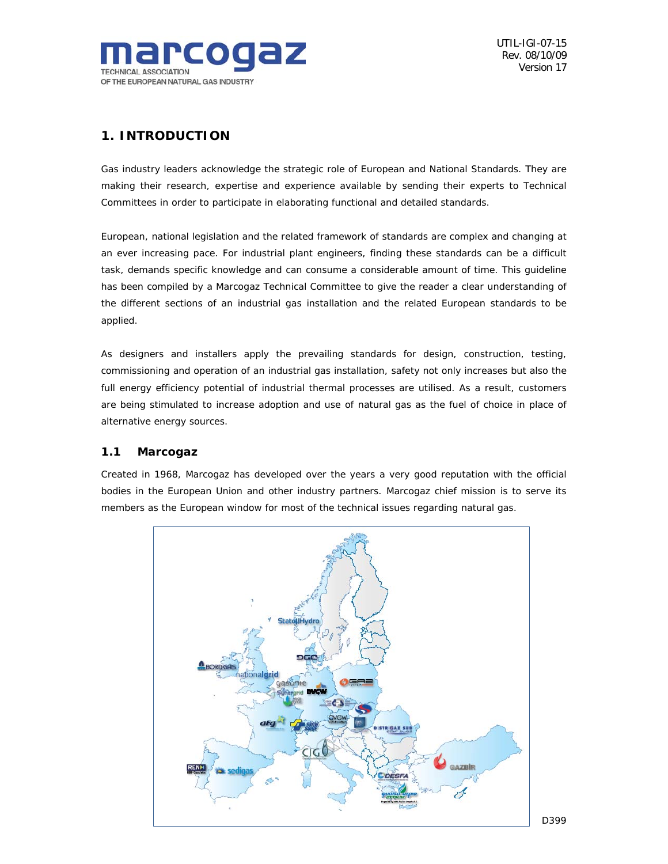

## *1. INTRODUCTION*

Gas industry leaders acknowledge the strategic role of European and National Standards. They are making their research, expertise and experience available by sending their experts to Technical Committees in order to participate in elaborating functional and detailed standards.

European, national legislation and the related framework of standards are complex and changing at an ever increasing pace. For industrial plant engineers, finding these standards can be a difficult task, demands specific knowledge and can consume a considerable amount of time. This guideline has been compiled by a Marcogaz Technical Committee to give the reader a clear understanding of the different sections of an industrial gas installation and the related European standards to be applied.

As designers and installers apply the prevailing standards for design, construction, testing, commissioning and operation of an industrial gas installation, safety not only increases but also the full energy efficiency potential of industrial thermal processes are utilised. As a result, customers are being stimulated to increase adoption and use of natural gas as the fuel of choice in place of alternative energy sources.

## *1.1 Marcogaz*

Created in 1968, Marcogaz has developed over the years a very good reputation with the official bodies in the European Union and other industry partners. Marcogaz chief mission is to serve its members as the European window for most of the technical issues regarding natural gas.

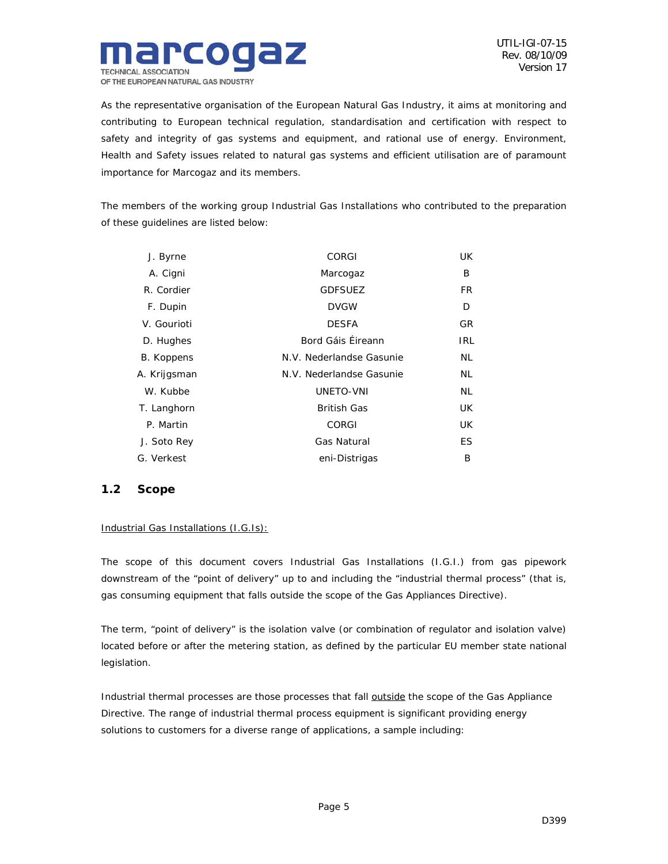

As the representative organisation of the European Natural Gas Industry, it aims at monitoring and contributing to European technical regulation, standardisation and certification with respect to safety and integrity of gas systems and equipment, and rational use of energy. Environment, Health and Safety issues related to natural gas systems and efficient utilisation are of paramount importance for Marcogaz and its members.

The members of the working group Industrial Gas Installations who contributed to the preparation of these guidelines are listed below:

| J. Byrne     | <b>CORGI</b>             | UK. |
|--------------|--------------------------|-----|
| A. Cigni     | Marcogaz                 | B   |
| R. Cordier   | <b>GDFSUEZ</b>           | FR. |
| F. Dupin     | <b>DVGW</b>              | D   |
| V. Gourioti  | <b>DESFA</b>             | GR. |
| D. Hughes    | Bord Gáis Éireann        | IRL |
| B. Koppens   | N.V. Nederlandse Gasunie | NL  |
| A. Krijgsman | N.V. Nederlandse Gasunie | NL  |
| W. Kubbe     | UNETO-VNI                | NL  |
| T. Langhorn  | <b>British Gas</b>       | UK. |
| P. Martin    | <b>CORGI</b>             | UK. |
| J. Soto Rey  | Gas Natural              | ES. |
| G. Verkest   | eni-Distrigas            | B   |

## *1.2 Scope*

## Industrial Gas Installations (I.G.Is):

The scope of this document covers Industrial Gas Installations (I.G.I.) from gas pipework downstream of the "point of delivery" up to and including the "industrial thermal process" (that is, gas consuming equipment that falls outside the scope of the Gas Appliances Directive).

The term, "point of delivery" is the isolation valve (or combination of regulator and isolation valve) located before or after the metering station, as defined by the particular EU member state national legislation.

Industrial thermal processes are those processes that fall **outside** the scope of the Gas Appliance Directive. The range of industrial thermal process equipment is significant providing energy solutions to customers for a diverse range of applications, a sample including: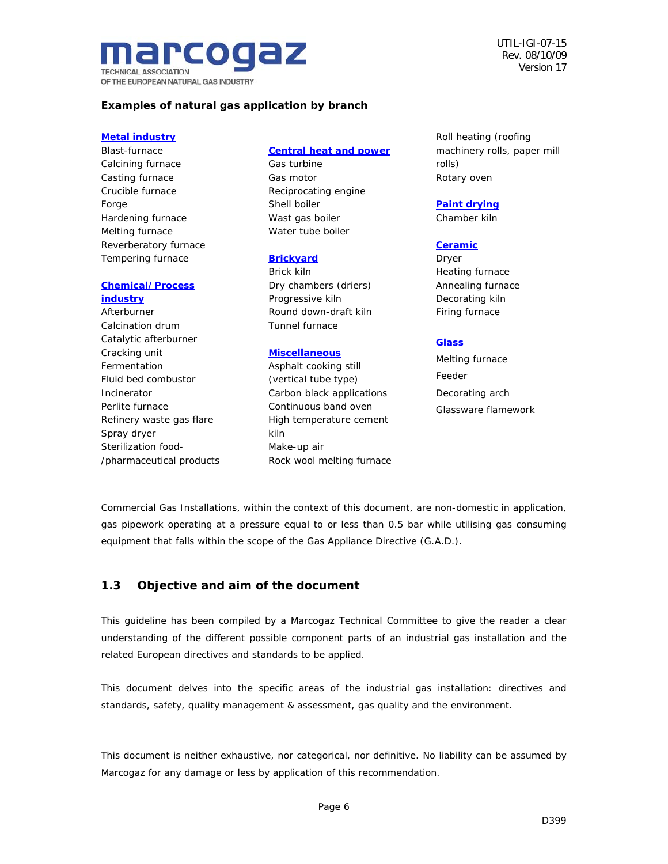arcog **TECHNICAL ASSOCIATION** OF THE EUROPEAN NATURAL GAS INDUSTRY UTIL-IGI-07-15 Rev. 08/10/09 Version 17

## **Examples of natural gas application by branch**

#### **Metal industry**

Blast-furnace Calcining furnace Casting furnace Crucible furnace Forge Hardening furnace Melting furnace Reverberatory furnace Tempering furnace

#### **Chemical/Process industry**

Afterburner Calcination drum Catalytic afterburner Cracking unit Fermentation Fluid bed combustor Incinerator Perlite furnace Refinery waste gas flare Spray dryer Sterilization food- /pharmaceutical products

#### **Central heat and power**

Gas turbine Gas motor Reciprocating engine Shell boiler Wast gas boiler Water tube boiler

#### **Brickyard**

Brick kiln Dry chambers (driers) Progressive kiln Round down-draft kiln Tunnel furnace

#### **Miscellaneous**

Asphalt cooking still (vertical tube type) Carbon black applications Continuous band oven High temperature cement kiln Make-up air Rock wool melting furnace Roll heating (roofing machinery rolls, paper mill rolls) Rotary oven

## **Paint drying**

Chamber kiln

### **Ceramic**

Dryer Heating furnace Annealing furnace Decorating kiln Firing furnace

#### **Glass**

Melting furnace Feeder Decorating arch Glassware flamework

Commercial Gas Installations, within the context of this document, are non-domestic in application, gas pipework operating at a pressure equal to or less than 0.5 bar while utilising gas consuming equipment that falls within the scope of the Gas Appliance Directive (G.A.D.).

## *1.3 Objective and aim of the document*

This guideline has been compiled by a Marcogaz Technical Committee to give the reader a clear understanding of the different possible component parts of an industrial gas installation and the related European directives and standards to be applied.

This document delves into the specific areas of the industrial gas installation: directives and standards, safety, quality management & assessment, gas quality and the environment.

This document is neither exhaustive, nor categorical, nor definitive. No liability can be assumed by Marcogaz for any damage or less by application of this recommendation.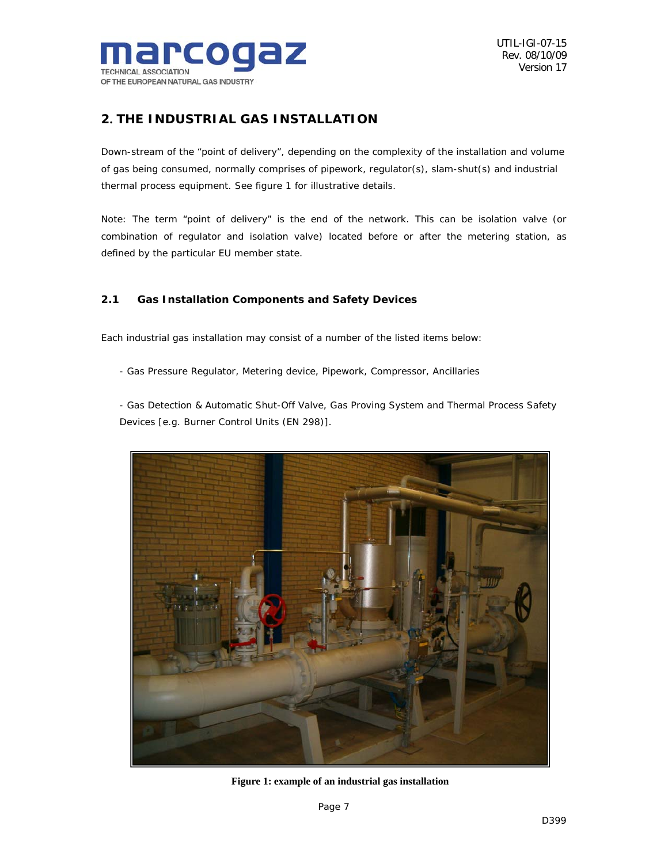

## *2. THE INDUSTRIAL GAS INSTALLATION*

Down-stream of the "point of delivery", depending on the complexity of the installation and volume of gas being consumed, normally comprises of pipework, regulator(s), slam-shut(s) and industrial thermal process equipment. See figure 1 for illustrative details.

Note: The term "point of delivery" is the end of the network. This can be isolation valve (or combination of regulator and isolation valve) located before or after the metering station, as defined by the particular EU member state.

## *2.1 Gas Installation Components and Safety Devices*

Each industrial gas installation may consist of a number of the listed items below:

- Gas Pressure Regulator, Metering device, Pipework, Compressor, Ancillaries

- Gas Detection & Automatic Shut-Off Valve, Gas Proving System and Thermal Process Safety Devices [e.g. Burner Control Units (EN 298)].



**Figure 1: example of an industrial gas installation**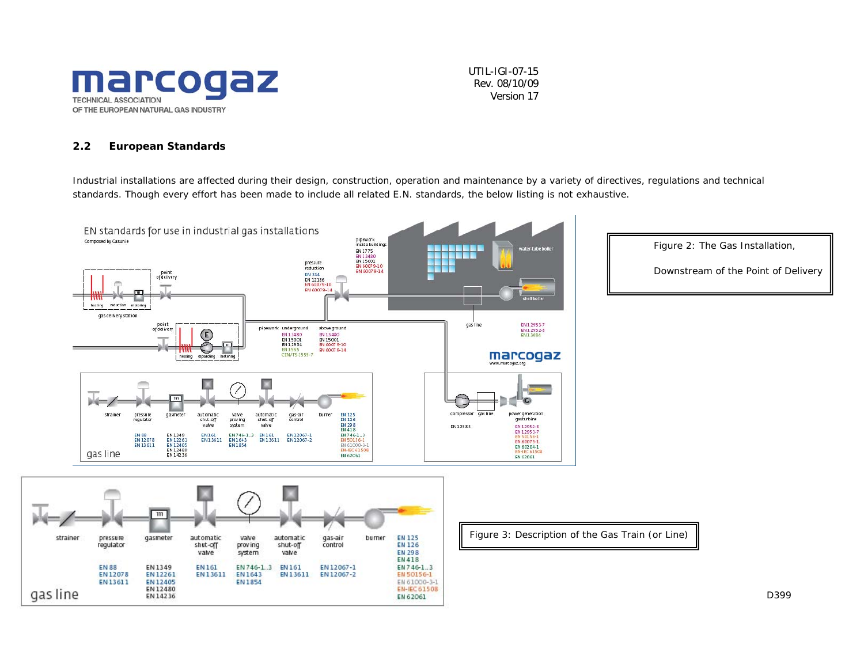

#### *2.2 European Standards*

Industrial installations are affected during their design, construction, operation and maintenance by a variety of directives, regulations and technical standards. Though every effort has been made to include all related E.N. standards, the below listing is not exhaustive.

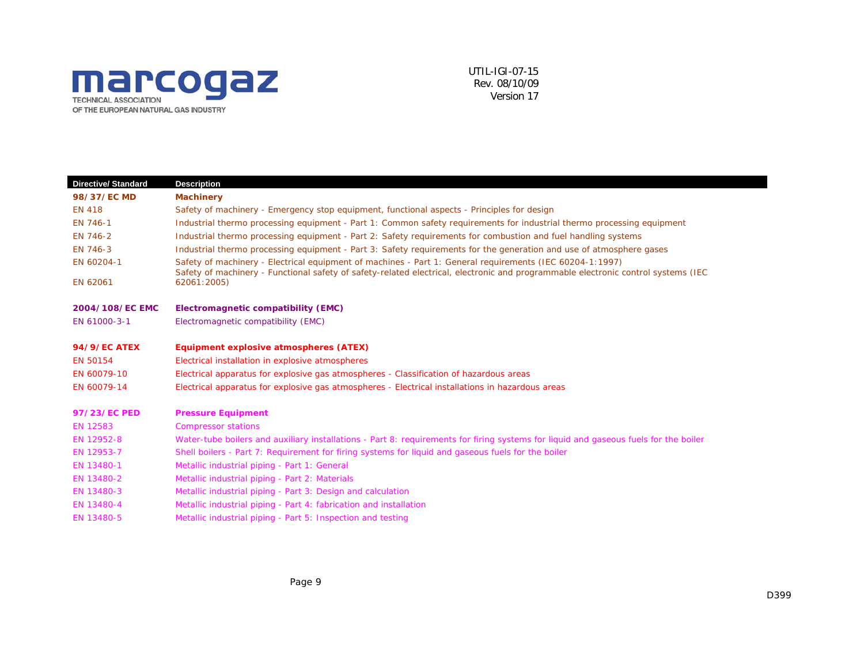

| <b>Directive/ Standard</b> | <b>Description</b>                                                                                                                                                                                                                            |
|----------------------------|-----------------------------------------------------------------------------------------------------------------------------------------------------------------------------------------------------------------------------------------------|
| 98/37/EC MD                | <b>Machinery</b>                                                                                                                                                                                                                              |
| <b>EN 418</b>              | Safety of machinery - Emergency stop equipment, functional aspects - Principles for design                                                                                                                                                    |
| EN 746-1                   | Industrial thermo processing equipment - Part 1: Common safety requirements for industrial thermo processing equipment                                                                                                                        |
| EN 746-2                   | Industrial thermo processing equipment - Part 2: Safety requirements for combustion and fuel handling systems                                                                                                                                 |
| EN 746-3                   | Industrial thermo processing equipment - Part 3: Safety requirements for the generation and use of atmosphere gases                                                                                                                           |
| EN 60204-1                 | Safety of machinery - Electrical equipment of machines - Part 1: General requirements (IEC 60204-1:1997)<br>Safety of machinery - Functional safety of safety-related electrical, electronic and programmable electronic control systems (IEC |
| EN 62061                   | 62061:2005)                                                                                                                                                                                                                                   |
| 2004/108/EC EMC            | Electromagnetic compatibility (EMC)                                                                                                                                                                                                           |
| EN 61000-3-1               | Electromagnetic compatibility (EMC)                                                                                                                                                                                                           |
| <b>94/9/EC ATEX</b>        | Equipment explosive atmospheres (ATEX)                                                                                                                                                                                                        |
| EN 50154                   | Electrical installation in explosive atmospheres                                                                                                                                                                                              |
| EN 60079-10                | Electrical apparatus for explosive gas atmospheres - Classification of hazardous areas                                                                                                                                                        |
| EN 60079-14                | Electrical apparatus for explosive gas atmospheres - Electrical installations in hazardous areas                                                                                                                                              |
| 97/23/EC PED               | <b>Pressure Equipment</b>                                                                                                                                                                                                                     |
| EN 12583                   | <b>Compressor stations</b>                                                                                                                                                                                                                    |
| EN 12952-8                 | Water-tube boilers and auxiliary installations - Part 8: requirements for firing systems for liquid and gaseous fuels for the boiler                                                                                                          |
| EN 12953-7                 | Shell boilers - Part 7: Requirement for firing systems for liquid and gaseous fuels for the boiler                                                                                                                                            |
| EN 13480-1                 | Metallic industrial piping - Part 1: General                                                                                                                                                                                                  |
| EN 13480-2                 | Metallic industrial piping - Part 2: Materials                                                                                                                                                                                                |
| EN 13480-3                 | Metallic industrial piping - Part 3: Design and calculation                                                                                                                                                                                   |
| EN 13480-4                 | Metallic industrial piping - Part 4: fabrication and installation                                                                                                                                                                             |
| EN 13480-5                 | Metallic industrial piping - Part 5: Inspection and testing                                                                                                                                                                                   |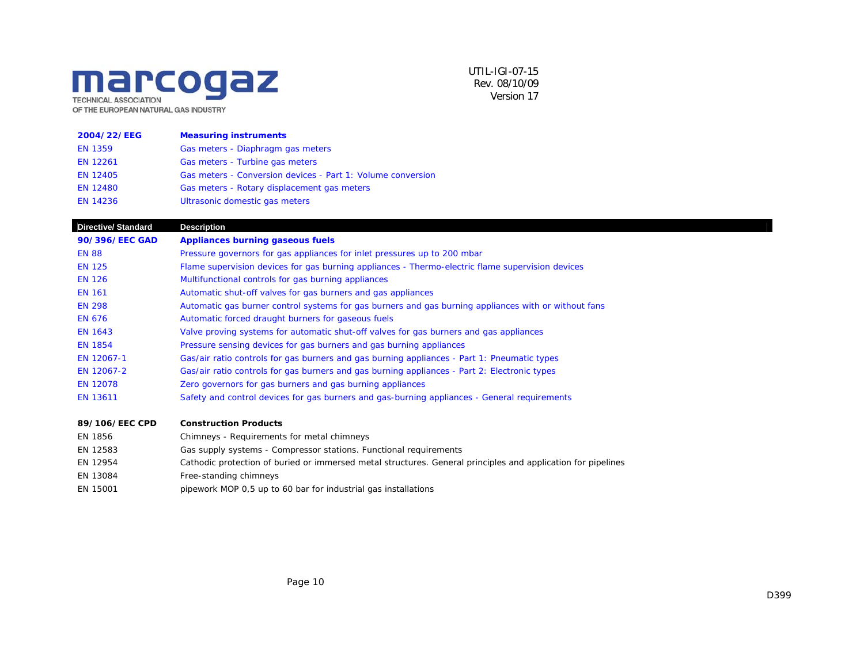## marcogaz **TECHNICAL ASSOCIATION** OF THE EUROPEAN NATURAL GAS INDUSTRY

UTIL-IGI-07-15Rev. 08/10/09Version 17

| 2004/22/EEG     | <b>Measuring instruments</b>                                |
|-----------------|-------------------------------------------------------------|
| <b>EN 1359</b>  | Gas meters - Diaphragm gas meters                           |
| EN 12261        | Gas meters - Turbine gas meters                             |
| <b>EN 12405</b> | Gas meters - Conversion devices - Part 1: Volume conversion |
| <b>EN 12480</b> | Gas meters - Rotary displacement gas meters                 |
| <b>EN 14236</b> | Ultrasonic domestic gas meters                              |

**Directive/ Standard Description 90/396/EEC GAD Appliances burning gaseous fuels**  EN 88 Pressure governors for gas appliances for inlet pressures up to 200 mbar EN 125 Flame supervision devices for gas burning appliances - Thermo-electric flame supervision devices EN 126 Multifunctional controls for gas burning appliances EN 161 Automatic shut-off valves for gas burners and gas appliances EN 298 Automatic gas burner control systems for gas burners and gas burning appliances with or without fans EN 676 **Automatic forced draught burners for gaseous fuels** EN 1643 Valve proving systems for automatic shut-off valves for gas burners and gas appliances EN 1854 Pressure sensing devices for gas burners and gas burning appliances EN 12067-1 Gas/air ratio controls for gas burners and gas burning appliances - Part 1: Pneumatic types EN 12067-2 Gas/air ratio controls for gas burners and gas burning appliances - Part 2: Electronic types EN 12078 Zero governors for gas burners and gas burning appliances EN 13611 Safety and control devices for gas burners and gas-burning appliances - General requirements

#### **89/106/EEC CPD Construction Products**

| EN 1856  | Chimneys - Requirements for metal chimneys                                                                   |
|----------|--------------------------------------------------------------------------------------------------------------|
| EN 12583 | Gas supply systems - Compressor stations. Functional requirements                                            |
| EN 12954 | Cathodic protection of buried or immersed metal structures. General principles and application for pipelines |
| EN 13084 | Free-standing chimneys                                                                                       |
| EN 15001 | pipework MOP 0,5 up to 60 bar for industrial gas installations                                               |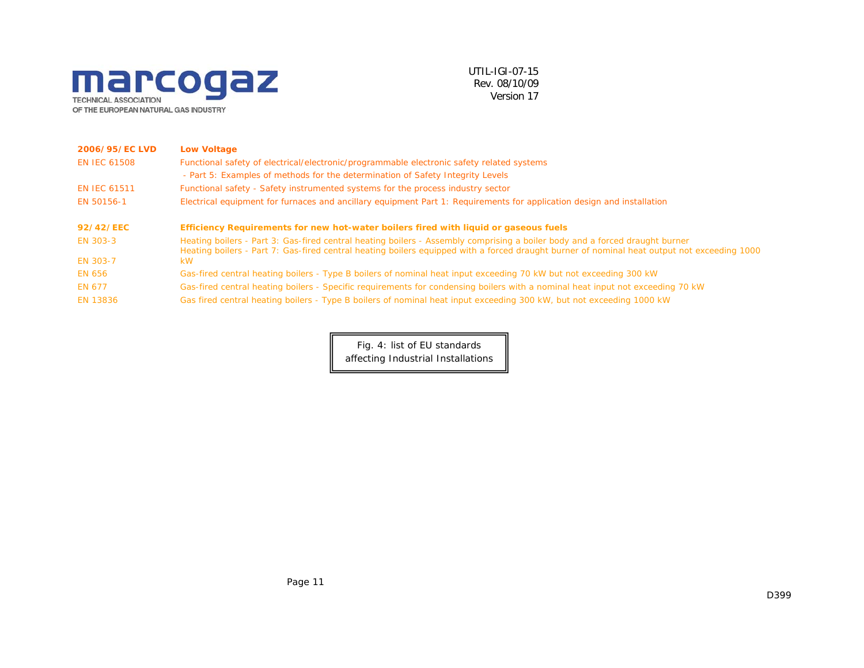

| 2006/95/EC LVD      | <b>Low Voltage</b>                                                                                                                                                                                                                                                         |
|---------------------|----------------------------------------------------------------------------------------------------------------------------------------------------------------------------------------------------------------------------------------------------------------------------|
| <b>EN IEC 61508</b> | Functional safety of electrical/electronic/programmable electronic safety related systems                                                                                                                                                                                  |
|                     | - Part 5: Examples of methods for the determination of Safety Integrity Levels                                                                                                                                                                                             |
| <b>EN IEC 61511</b> | Functional safety - Safety instrumented systems for the process industry sector                                                                                                                                                                                            |
| EN 50156-1          | Electrical equipment for furnaces and ancillary equipment Part 1: Requirements for application design and installation                                                                                                                                                     |
| 92/42/EEC           | Efficiency Requirements for new hot-water boilers fired with liquid or gaseous fuels                                                                                                                                                                                       |
| EN 303-3            | Heating boilers - Part 3: Gas-fired central heating boilers - Assembly comprising a boiler body and a forced draught burner<br>Heating boilers - Part 7: Gas-fired central heating boilers equipped with a forced draught burner of nominal heat output not exceeding 1000 |
| <b>EN 303-7</b>     | <b>kW</b>                                                                                                                                                                                                                                                                  |
| <b>EN 656</b>       | Gas-fired central heating boilers - Type B boilers of nominal heat input exceeding 70 kW but not exceeding 300 kW                                                                                                                                                          |
| EN 677              | Gas-fired central heating boilers - Specific requirements for condensing boilers with a nominal heat input not exceeding 70 kW                                                                                                                                             |
| <b>EN 13836</b>     | Gas fired central heating boilers - Type B boilers of nominal heat input exceeding 300 kW, but not exceeding 1000 kW                                                                                                                                                       |

Fig. 4: list of EU standards affecting Industrial Installations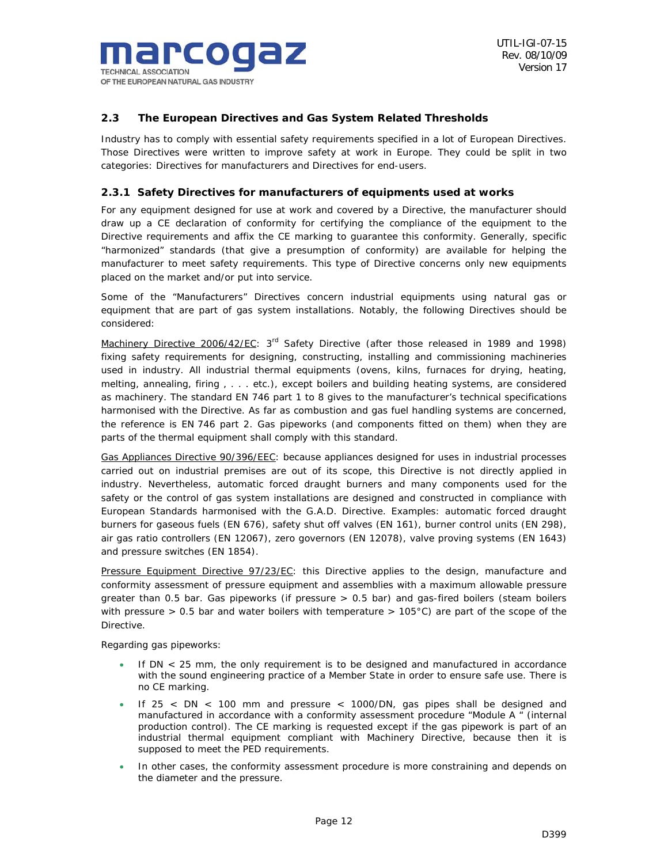

## *2.3 The European Directives and Gas System Related Thresholds*

Industry has to comply with essential safety requirements specified in a lot of European Directives. Those Directives were written to improve safety at work in Europe. They could be split in two categories: Directives for manufacturers and Directives for end-users.

## *2.3.1 Safety Directives for manufacturers of equipments used at works*

For any equipment designed for use at work and covered by a Directive, the manufacturer should draw up a CE declaration of conformity for certifying the compliance of the equipment to the Directive requirements and affix the CE marking to guarantee this conformity. Generally, specific "harmonized" standards (that give a presumption of conformity) are available for helping the manufacturer to meet safety requirements. This type of Directive concerns only new equipments placed on the market and/or put into service.

Some of the "Manufacturers" Directives concern industrial equipments using natural gas or equipment that are part of gas system installations. Notably, the following Directives should be considered:

Machinery Directive 2006/42/EC: 3<sup>rd</sup> Safety Directive (after those released in 1989 and 1998) fixing safety requirements for designing, constructing, installing and commissioning machineries used in industry. All industrial thermal equipments (ovens, kilns, furnaces for drying, heating, melting, annealing, firing , . . . etc.), except boilers and building heating systems, are considered as machinery. The standard EN 746 part 1 to 8 gives to the manufacturer's technical specifications harmonised with the Directive. As far as combustion and gas fuel handling systems are concerned, the reference is EN 746 part 2. Gas pipeworks (and components fitted on them) when they are parts of the thermal equipment shall comply with this standard.

Gas Appliances Directive 90/396/EEC: because appliances designed for uses in industrial processes carried out on industrial premises are out of its scope, this Directive is not directly applied in industry. Nevertheless, automatic forced draught burners and many components used for the safety or the control of gas system installations are designed and constructed in compliance with European Standards harmonised with the G.A.D. Directive. Examples: automatic forced draught burners for gaseous fuels (EN 676), safety shut off valves (EN 161), burner control units (EN 298), air gas ratio controllers (EN 12067), zero governors (EN 12078), valve proving systems (EN 1643) and pressure switches (EN 1854).

Pressure Equipment Directive 97/23/EC: this Directive applies to the design, manufacture and conformity assessment of pressure equipment and assemblies with a maximum allowable pressure greater than 0.5 bar. Gas pipeworks (if pressure > 0.5 bar) and gas-fired boilers (steam boilers with pressure > 0.5 bar and water boilers with temperature > 105°C) are part of the scope of the Directive.

Regarding gas pipeworks:

- If  $DN < 25$  mm, the only requirement is to be designed and manufactured in accordance with the sound engineering practice of a Member State in order to ensure safe use. There is no CE marking.
- If  $25 < DN < 100$  mm and pressure  $<$  1000/DN, gas pipes shall be designed and manufactured in accordance with a conformity assessment procedure "Module A " (internal production control). The CE marking is requested except if the gas pipework is part of an industrial thermal equipment compliant with Machinery Directive, because then it is supposed to meet the PED requirements.
- In other cases, the conformity assessment procedure is more constraining and depends on the diameter and the pressure.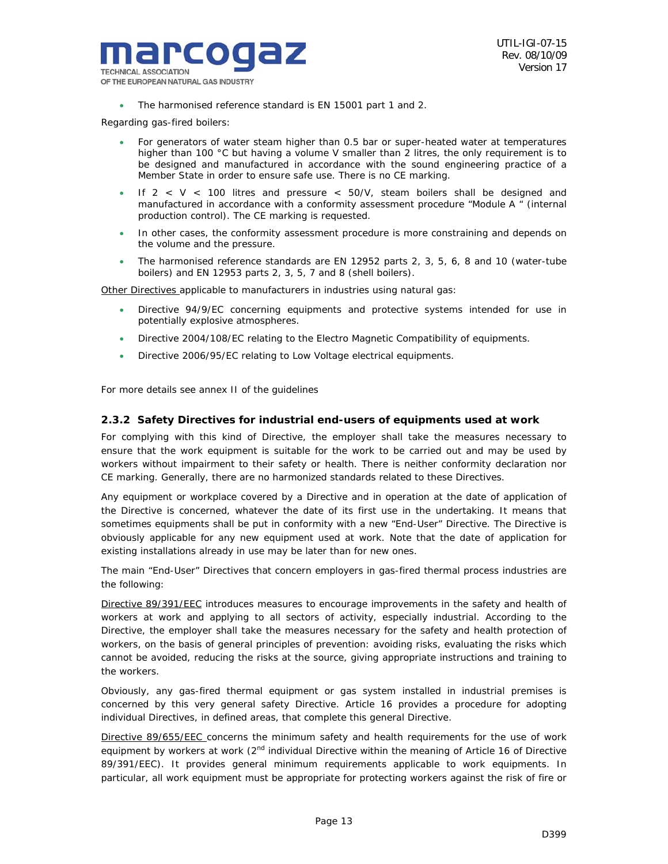

• The harmonised reference standard is EN 15001 part 1 and 2.

Regarding gas-fired boilers:

- For generators of water steam higher than 0.5 bar or super-heated water at temperatures higher than 100 °C but having a volume V smaller than 2 litres, the only requirement is to be designed and manufactured in accordance with the sound engineering practice of a Member State in order to ensure safe use. There is no CE marking.
- If  $2 < V < 100$  litres and pressure  $< 50/V$ , steam boilers shall be designed and manufactured in accordance with a conformity assessment procedure "Module A " (internal production control). The CE marking is requested.
- In other cases, the conformity assessment procedure is more constraining and depends on the volume and the pressure.
- The harmonised reference standards are EN 12952 parts 2, 3, 5, 6, 8 and 10 (water-tube boilers) and EN 12953 parts 2, 3, 5, 7 and 8 (shell boilers).

Other Directives applicable to manufacturers in industries using natural gas:

- Directive 94/9/EC concerning equipments and protective systems intended for use in potentially explosive atmospheres.
- Directive 2004/108/EC relating to the Electro Magnetic Compatibility of equipments.
- Directive 2006/95/EC relating to Low Voltage electrical equipments.

For more details see annex II of the guidelines

#### *2.3.2 Safety Directives for industrial end-users of equipments used at work*

For complying with this kind of Directive, the employer shall take the measures necessary to ensure that the work equipment is suitable for the work to be carried out and may be used by workers without impairment to their safety or health. There is neither conformity declaration nor CE marking. Generally, there are no harmonized standards related to these Directives.

Any equipment or workplace covered by a Directive and in operation at the date of application of the Directive is concerned, whatever the date of its first use in the undertaking. It means that sometimes equipments shall be put in conformity with a new "End-User" Directive. The Directive is obviously applicable for any new equipment used at work. Note that the date of application for existing installations already in use may be later than for new ones.

The main "End-User" Directives that concern employers in gas-fired thermal process industries are the following:

Directive 89/391/EEC introduces measures to encourage *improvements in the safety and health of workers at work* and applying to all sectors of activity, especially industrial. According to the Directive, the employer shall take the measures necessary for the safety and health protection of workers, on the basis of general principles of prevention: avoiding risks, evaluating the risks which cannot be avoided, reducing the risks at the source, giving appropriate instructions and training to the workers.

Obviously, any gas-fired thermal equipment or gas system installed in industrial premises is concerned by this very general safety Directive. Article 16 provides a procedure for adopting individual Directives, in defined areas, that complete this general Directive.

Directive 89/655/EEC concerns *the minimum safety and health requirements for the use of work*  equipment by workers at work (2<sup>nd</sup> individual Directive within the meaning of Article 16 of Directive 89/391/EEC). It provides general minimum requirements applicable to work equipments. In particular, all work equipment must be appropriate for protecting workers against the risk of fire or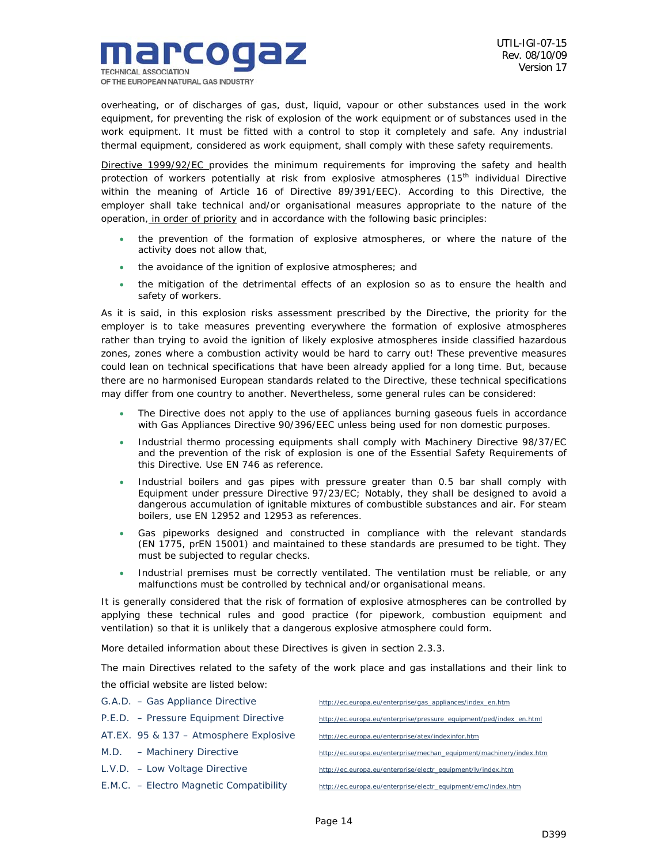

overheating, or of discharges of gas, dust, liquid, vapour or other substances used in the work equipment, *for preventing the risk of explosion* of the work equipment or of substances used in the work equipment. It must be fitted with a control to stop it completely and safe. Any industrial thermal equipment, considered as work equipment, shall comply with these safety requirements.

Directive 1999/92/EC provides *the minimum requirements for improving the safety and health*  protection of workers potentially at risk from explosive atmospheres (15<sup>th</sup> individual Directive within the meaning of Article 16 of Directive 89/391/EEC). According to this Directive, the employer shall take technical and/or organisational measures appropriate to the nature of the operation, in order of priority and in accordance with the following basic principles:

- the prevention of the formation of explosive atmospheres, or where the nature of the activity does not allow that,
- the avoidance of the ignition of explosive atmospheres; and
- the mitigation of the detrimental effects of an explosion so as to ensure the health and safety of workers.

As it is said, in this explosion risks assessment prescribed by the Directive, the priority for the employer is to take measures preventing everywhere the formation of explosive atmospheres rather than trying to avoid the ignition of likely explosive atmospheres inside classified hazardous zones, zones where a combustion activity would be hard to carry out! These preventive measures could lean on technical specifications that have been already applied for a long time. But, because there are no harmonised European standards related to the Directive, these technical specifications may differ from one country to another. Nevertheless, some general rules can be considered:

- The Directive does not apply to the use of appliances burning gaseous fuels in accordance with Gas Appliances Directive 90/396/EEC unless being used for non domestic purposes.
- Industrial thermo processing equipments shall comply with Machinery Directive 98/37/EC and the prevention of the risk of explosion is one of the Essential Safety Requirements of this Directive. Use EN 746 as reference.
- Industrial boilers and gas pipes with pressure greater than 0.5 bar shall comply with Equipment under pressure Directive 97/23/EC; Notably, they shall be designed to avoid a dangerous accumulation of ignitable mixtures of combustible substances and air. For steam boilers, use EN 12952 and 12953 as references.
- Gas pipeworks designed and constructed in compliance with the relevant standards (EN 1775, prEN 15001) and maintained to these standards are presumed to be tight. They must be subjected to regular checks.
- Industrial premises must be correctly ventilated. The ventilation must be reliable, or any malfunctions must be controlled by technical and/or organisational means.

It is generally considered that the risk of formation of explosive atmospheres can be controlled by applying these technical rules and good practice (for pipework, combustion equipment and ventilation) so that it is unlikely that a dangerous explosive atmosphere could form.

More detailed information about these Directives is given in section 2.3.3.

The main Directives related to the safety of the work place and gas installations and their link to the official website are listed below:

| G.A.D. - Gas Appliance Directive        | http://ec.europa.eu/enterprise/gas_appliances/index_en.htm          |
|-----------------------------------------|---------------------------------------------------------------------|
| P.E.D. – Pressure Equipment Directive   | http://ec.europa.eu/enterprise/pressure_equipment/ped/index_en.html |
| AT.EX. 95 & 137 - Atmosphere Explosive  | http://ec.europa.eu/enterprise/atex/indexinfor.htm                  |
| $M.D.$ - Machinery Directive            | http://ec.europa.eu/enterprise/mechan_equipment/machinery/index.htm |
| $L.V.D. - Low Voltage Directive$        | http://ec.europa.eu/enterprise/electr_equipment/lv/index.htm        |
| E.M.C. - Electro Magnetic Compatibility | http://ec.europa.eu/enterprise/electr_equipment/emc/index.htm       |
|                                         |                                                                     |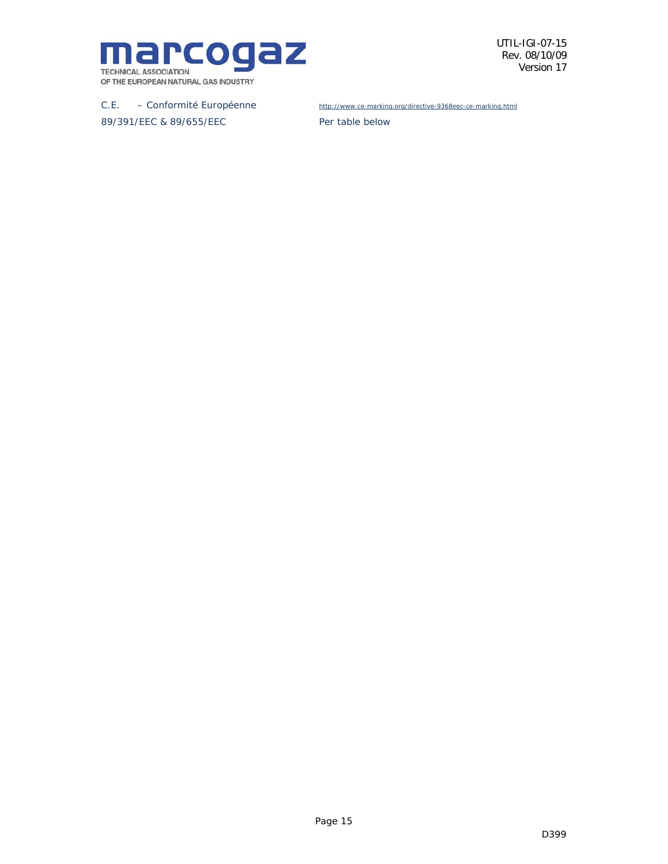

C.E. – Conformité Européenne http://www.ce-marking.org/directive-9368eec-ce-marking.html

89/391/EEC & 89/655/EEC Per table below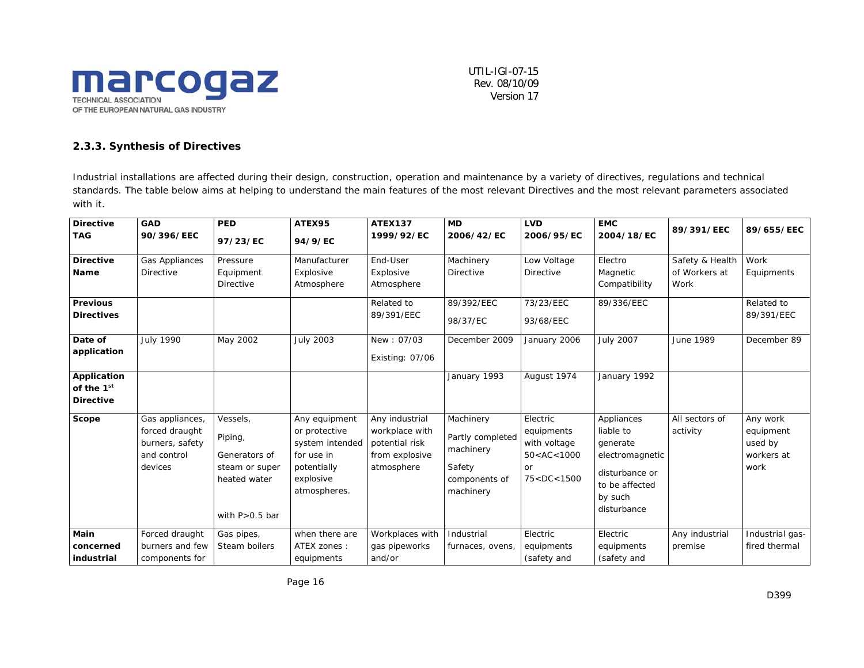

### *2.3.3. Synthesis of Directives*

Industrial installations are affected during their design, construction, operation and maintenance by a variety of directives, regulations and technical standards. The table below aims at helping to understand the main features of the most relevant Directives and the most relevant parameters associated with it.

| <b>Directive</b>                                                                    | <b>GAD</b>                                                                     | <b>PED</b>                                                                                   | ATEX95                                                                                                      | <b>ATEX137</b>                                                                     | <b>MD</b>                                                                          | <b>LVD</b>                                                                                                                                                                                                                                                                                                                                         | <b>EMC</b>                                                                                                           |                                          | 89/655/EEC                                             |
|-------------------------------------------------------------------------------------|--------------------------------------------------------------------------------|----------------------------------------------------------------------------------------------|-------------------------------------------------------------------------------------------------------------|------------------------------------------------------------------------------------|------------------------------------------------------------------------------------|----------------------------------------------------------------------------------------------------------------------------------------------------------------------------------------------------------------------------------------------------------------------------------------------------------------------------------------------------|----------------------------------------------------------------------------------------------------------------------|------------------------------------------|--------------------------------------------------------|
| <b>TAG</b>                                                                          | 90/396/EEC                                                                     | 97/23/EC                                                                                     | 94/9/EC                                                                                                     | 1999/92/EC                                                                         | 2006/42/EC                                                                         | 2006/95/EC                                                                                                                                                                                                                                                                                                                                         | 2004/18/EC                                                                                                           | 89/391/EEC                               |                                                        |
| <b>Directive</b><br><b>Name</b><br><b>Previous</b><br><b>Directives</b>             | <b>Gas Appliances</b><br><b>Directive</b>                                      | Pressure<br>Equipment<br><b>Directive</b>                                                    | Manufacturer<br>Explosive<br>Atmosphere                                                                     | End-User<br>Explosive<br>Atmosphere<br>Related to<br>89/391/EEC                    | Machinery<br><b>Directive</b><br>89/392/EEC<br>98/37/EC                            | Low Voltage<br><b>Directive</b><br>73/23/EEC<br>93/68/EEC                                                                                                                                                                                                                                                                                          | Electro<br>Magnetic<br>Compatibility<br>89/336/EEC                                                                   | Safety & Health<br>of Workers at<br>Work | Work<br>Equipments<br>Related to<br>89/391/EEC         |
| Date of<br>application<br>Application<br>of the 1 <sup>st</sup><br><b>Directive</b> | <b>July 1990</b>                                                               | May 2002                                                                                     | <b>July 2003</b>                                                                                            | New: 07/03<br>Existing: 07/06                                                      | December 2009<br>January 1993                                                      | January 2006<br>August 1974                                                                                                                                                                                                                                                                                                                        | <b>July 2007</b><br>January 1992                                                                                     | June 1989                                | December 89                                            |
| Scope                                                                               | Gas appliances,<br>forced draught<br>burners, safety<br>and control<br>devices | Vessels,<br>Piping,<br>Generators of<br>steam or super<br>heated water<br>with $P > 0.5$ bar | Any equipment<br>or protective<br>system intended<br>for use in<br>potentially<br>explosive<br>atmospheres. | Any industrial<br>workplace with<br>potential risk<br>from explosive<br>atmosphere | Machinery<br>Partly completed<br>machinery<br>Safety<br>components of<br>machinery | Electric<br>equipments<br>with voltage<br>50 < AC < 1000<br><b>or</b><br>75 <dc<1500< th=""><th>Appliances<br/>liable to<br/>generate<br/>electromagnetic<br/>disturbance or<br/>to be affected<br/>by such<br/>disturbance</th><th>All sectors of<br/>activity</th><th>Any work<br/>equipment<br/>used by<br/>workers at<br/>work</th></dc<1500<> | Appliances<br>liable to<br>generate<br>electromagnetic<br>disturbance or<br>to be affected<br>by such<br>disturbance | All sectors of<br>activity               | Any work<br>equipment<br>used by<br>workers at<br>work |
| <b>Main</b><br>concerned<br>industrial                                              | Forced draught<br>burners and few<br>components for                            | Gas pipes,<br>Steam boilers                                                                  | when there are<br>ATEX zones:<br>equipments                                                                 | Workplaces with<br>gas pipeworks<br>and/or                                         | Industrial<br>furnaces, ovens,                                                     | Electric<br>equipments<br>(safety and                                                                                                                                                                                                                                                                                                              | Electric<br>equipments<br>(safety and                                                                                | Any industrial<br>premise                | Industrial gas-<br>fired thermal                       |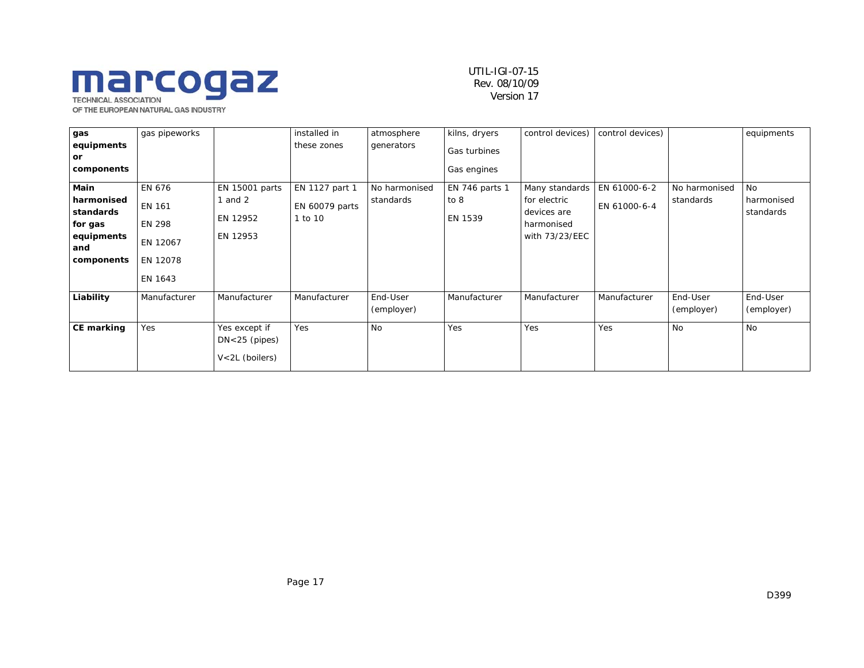# **Marcogal ASSOCIATION**

OF THE EUROPEAN NATURAL GAS INDUSTRY

### UTIL-IGI-07-15 Rev. 08/10/09 Version 17

| gas               | gas pipeworks |                                                          | installed in   | atmosphere             | kilns, dryers  | control devices) | control devices) |                        | equipments             |
|-------------------|---------------|----------------------------------------------------------|----------------|------------------------|----------------|------------------|------------------|------------------------|------------------------|
| equipments<br>or  |               |                                                          | these zones    | generators             | Gas turbines   |                  |                  |                        |                        |
| components        |               |                                                          |                |                        | Gas engines    |                  |                  |                        |                        |
| Main              | EN 676        | EN 15001 parts                                           | EN 1127 part 1 | No harmonised          | EN 746 parts 1 | Many standards   | EN 61000-6-2     | No harmonised          | No                     |
| harmonised        | <b>EN 161</b> | 1 and 2                                                  | EN 60079 parts | standards              | to 8           | for electric     | EN 61000-6-4     | standards              | harmonised             |
| standards         |               | EN 12952                                                 | 1 to 10        |                        | EN 1539        | devices are      |                  |                        | standards              |
| for gas           | <b>EN 298</b> |                                                          |                |                        |                | harmonised       |                  |                        |                        |
| equipments<br>and | EN 12067      | EN 12953                                                 |                |                        |                | with 73/23/EEC   |                  |                        |                        |
| components        | EN 12078      |                                                          |                |                        |                |                  |                  |                        |                        |
|                   | EN 1643       |                                                          |                |                        |                |                  |                  |                        |                        |
| Liability         | Manufacturer  | Manufacturer                                             | Manufacturer   | End-User<br>(employer) | Manufacturer   | Manufacturer     | Manufacturer     | End-User<br>(employer) | End-User<br>(employer) |
| <b>CE marking</b> | Yes           | Yes except if<br>$DN < 25$ (pipes)<br>$V < 2L$ (boilers) | Yes            | <b>No</b>              | Yes            | Yes              | Yes              | <b>No</b>              | <b>No</b>              |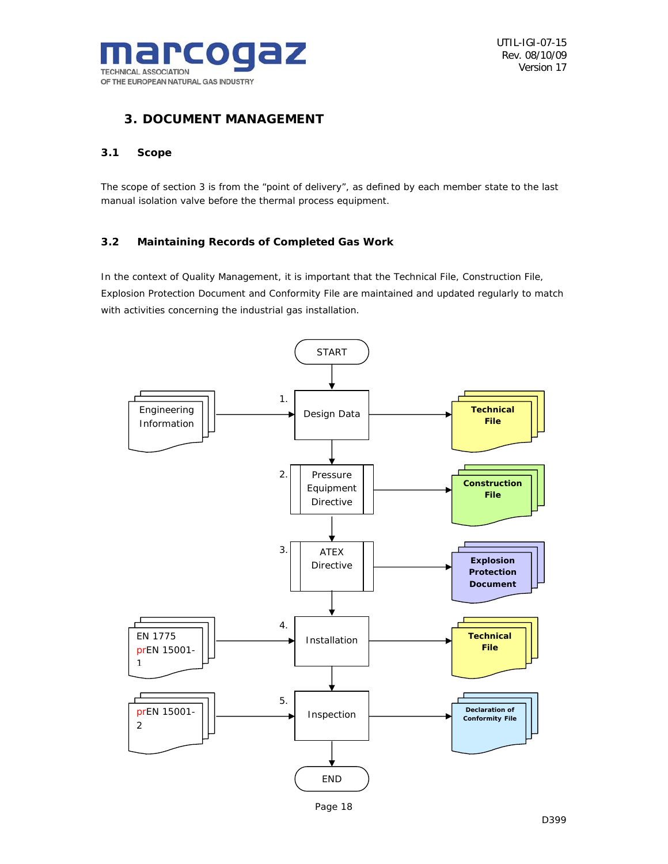

## *3. DOCUMENT MANAGEMENT*

### *3.1 Scope*

The scope of section 3 is from the "point of delivery", as defined by each member state to the last manual isolation valve before the thermal process equipment.

## *3.2 Maintaining Records of Completed Gas Work*

In the context of Quality Management, it is important that the Technical File, Construction File, Explosion Protection Document and Conformity File are maintained and updated regularly to match with activities concerning the industrial gas installation.

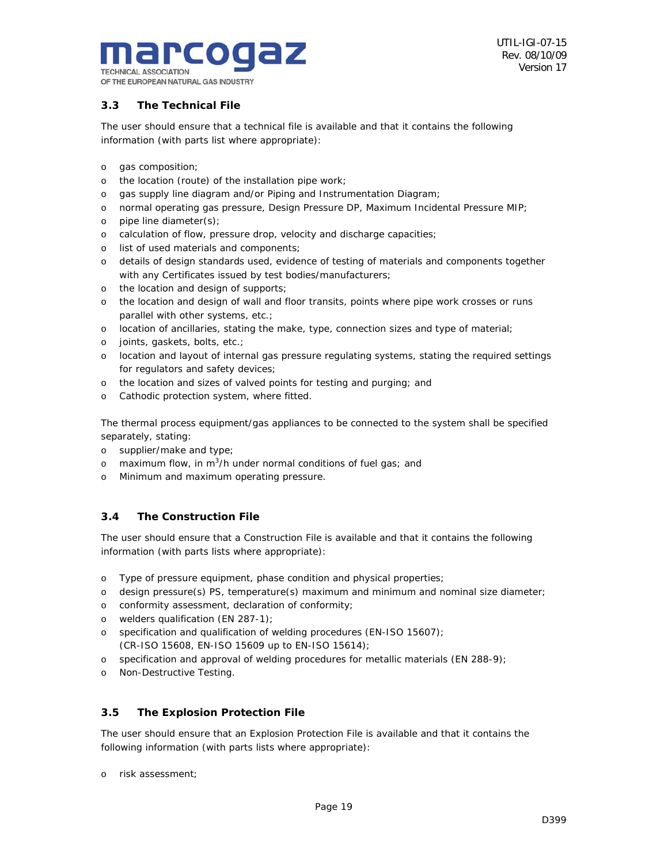

## *3.3 The Technical File*

The user should ensure that a technical file is available and that it contains the following information (with parts list where appropriate):

- o gas composition;
- o the location (route) of the installation pipe work;
- o gas supply line diagram and/or Piping and Instrumentation Diagram;
- o normal operating gas pressure, Design Pressure DP, Maximum Incidental Pressure MIP;
- o pipe line diameter(s);
- o calculation of flow, pressure drop, velocity and discharge capacities;
- o list of used materials and components;
- o details of design standards used, evidence of testing of materials and components together with any Certificates issued by test bodies/manufacturers;
- o the location and design of supports;
- o the location and design of wall and floor transits, points where pipe work crosses or runs parallel with other systems, etc.;
- o location of ancillaries, stating the make, type, connection sizes and type of material;
- o joints, gaskets, bolts, etc.;
- o location and layout of internal gas pressure regulating systems, stating the required settings for regulators and safety devices;
- o the location and sizes of valved points for testing and purging; and
- o Cathodic protection system, where fitted.

The thermal process equipment/gas appliances to be connected to the system shall be specified separately, stating:

- o supplier/make and type;
- o maximum flow, in m<sup>3</sup>/h under normal conditions of fuel gas; and
- o Minimum and maximum operating pressure.

## *3.4 The Construction File*

The user should ensure that a Construction File is available and that it contains the following information (with parts lists where appropriate):

- o Type of pressure equipment, phase condition and physical properties;
- o design pressure(s) PS, temperature(s) maximum and minimum and nominal size diameter;
- o conformity assessment, declaration of conformity;
- o welders qualification (EN 287-1);
- o specification and qualification of welding procedures (EN-ISO 15607); (CR-ISO 15608, EN-ISO 15609 up to EN-ISO 15614);
- o specification and approval of welding procedures for metallic materials (EN 288-9);
- o Non-Destructive Testing.

## *3.5 The Explosion Protection File*

The user should ensure that an Explosion Protection File is available and that it contains the following information (with parts lists where appropriate):

o risk assessment;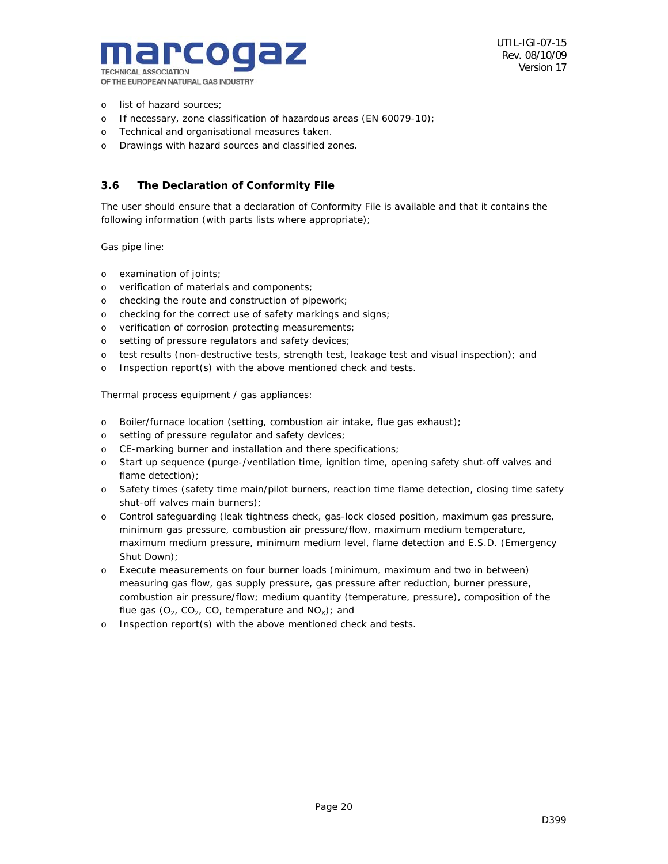

- o list of hazard sources;
- o If necessary, zone classification of hazardous areas (EN 60079-10);
- o Technical and organisational measures taken.
- o Drawings with hazard sources and classified zones.

## *3.6 The Declaration of Conformity File*

The user should ensure that a declaration of Conformity File is available and that it contains the following information (with parts lists where appropriate);

Gas pipe line:

- o examination of joints;
- o verification of materials and components;
- o checking the route and construction of pipework;
- o checking for the correct use of safety markings and signs;
- o verification of corrosion protecting measurements;
- o setting of pressure regulators and safety devices;
- o test results (non-destructive tests, strength test, leakage test and visual inspection); and
- o Inspection report(s) with the above mentioned check and tests.

Thermal process equipment / gas appliances:

- o Boiler/furnace location (setting, combustion air intake, flue gas exhaust);
- o setting of pressure regulator and safety devices;
- o CE-marking burner and installation and there specifications;
- o Start up sequence (purge-/ventilation time, ignition time, opening safety shut-off valves and flame detection);
- o Safety times (safety time main/pilot burners, reaction time flame detection, closing time safety shut-off valves main burners);
- o Control safeguarding (leak tightness check, gas-lock closed position, maximum gas pressure, minimum gas pressure, combustion air pressure/flow, maximum medium temperature, maximum medium pressure, minimum medium level, flame detection and E.S.D. (Emergency Shut Down);
- o Execute measurements on four burner loads (minimum, maximum and two in between) measuring gas flow, gas supply pressure, gas pressure after reduction, burner pressure, combustion air pressure/flow; medium quantity (temperature, pressure), composition of the flue gas  $(O_2, CO_2, CO_1$  temperature and  $NO<sub>X</sub>$ ); and
- o Inspection report(s) with the above mentioned check and tests.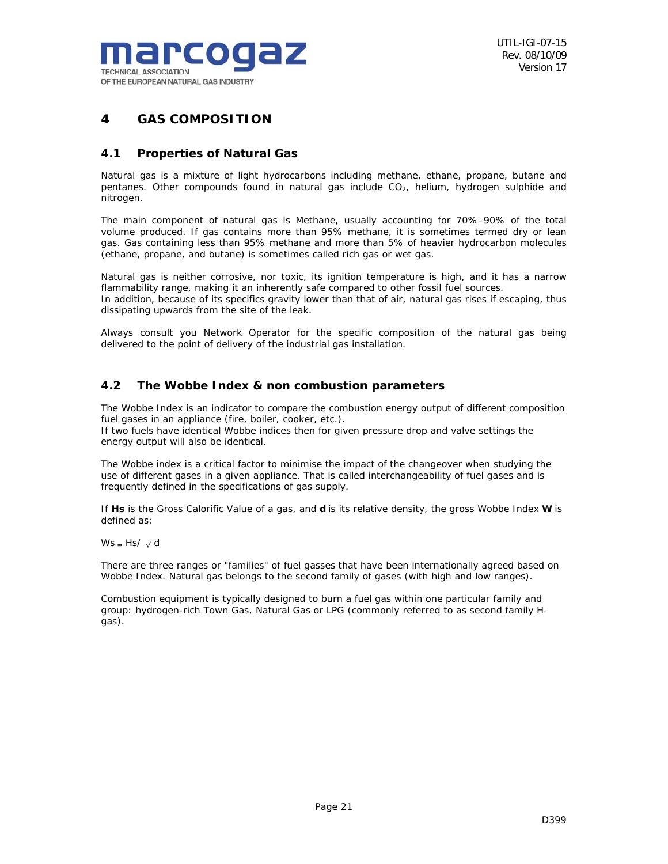

## *4 GAS COMPOSITION*

## *4.1 Properties of Natural Gas*

Natural gas is a mixture of light hydrocarbons including methane, ethane, propane, butane and pentanes. Other compounds found in natural gas include  $CO<sub>2</sub>$ , helium, hydrogen sulphide and nitrogen.

The main component of natural gas is Methane, usually accounting for 70%–90% of the total volume produced. If gas contains more than 95% methane, it is sometimes termed dry or lean gas. Gas containing less than 95% methane and more than 5% of heavier hydrocarbon molecules (ethane, propane, and butane) is sometimes called rich gas or wet gas.

Natural gas is neither corrosive, nor toxic, its ignition temperature is high, and it has a narrow flammability range, making it an inherently safe compared to other fossil fuel sources. In addition, because of its specifics gravity lower than that of air, natural gas rises if escaping, thus dissipating upwards from the site of the leak.

Always consult you Network Operator for the specific composition of the natural gas being delivered to the point of delivery of the industrial gas installation.

## *4.2 The Wobbe Index & non combustion parameters*

The Wobbe Index is an indicator to compare the combustion energy output of different composition fuel gases in an appliance (fire, boiler, cooker, etc.).

If two fuels have identical Wobbe indices then for given pressure drop and valve settings the energy output will also be identical.

The Wobbe index is a critical factor to minimise the impact of the changeover when studying the use of different gases in a given appliance. That is called interchangeability of fuel gases and is frequently defined in the specifications of gas supply.

If *Hs* is the Gross Calorific Value of a gas, and **d** is its relative density, the gross Wobbe Index **W** is defined as:

Ws  $-$  Hs/ $\sqrt{d}$ 

There are three ranges or "families" of fuel gasses that have been internationally agreed based on Wobbe Index. Natural gas belongs to the second family of gases (with high and low ranges).

Combustion equipment is typically designed to burn a fuel gas within one particular family and group: hydrogen-rich Town Gas, Natural Gas or LPG (commonly referred to as second family Hgas).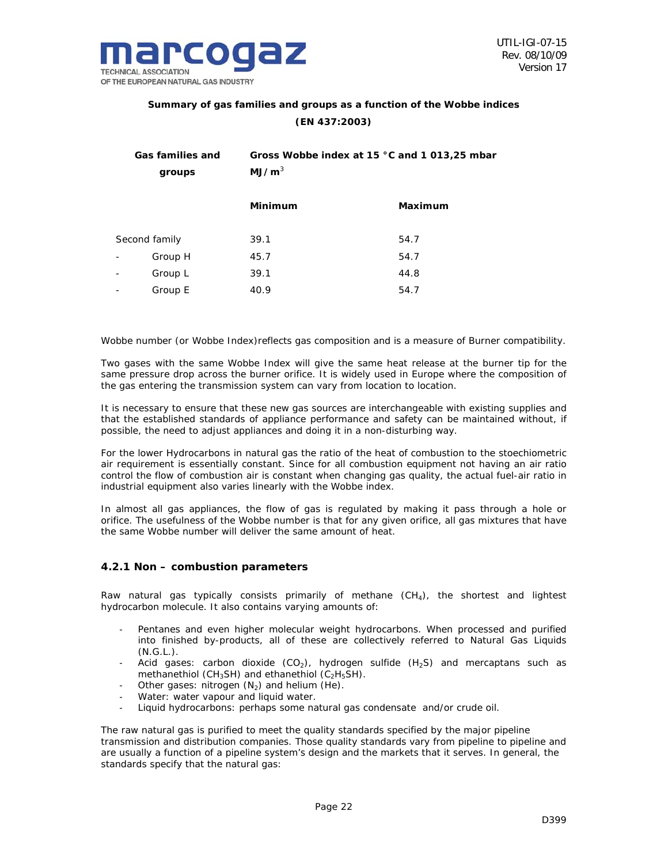

## **Summary of gas families and groups as a function of the Wobbe indices (EN 437:2003)**

|                              | Gas families and<br>groups | Gross Wobbe index at 15 °C and 1 013,25 mbar<br>MJ/m <sup>3</sup> |         |  |  |  |
|------------------------------|----------------------------|-------------------------------------------------------------------|---------|--|--|--|
|                              |                            | <b>Minimum</b>                                                    | Maximum |  |  |  |
|                              | Second family              | 39.1                                                              | 54.7    |  |  |  |
|                              | Group H                    | 45.7                                                              | 54.7    |  |  |  |
| $\overline{a}$               | Group L                    | 39.1                                                              | 44.8    |  |  |  |
| $\qquad \qquad \blacksquare$ | Group E                    | 40.9                                                              | 54.7    |  |  |  |

Wobbe number (or Wobbe Index)reflects gas composition and is a measure of Burner compatibility.

Two gases with the same Wobbe Index will give the same heat release at the burner tip for the same pressure drop across the burner orifice. It is widely used in Europe where the composition of the gas entering the transmission system can vary from location to location.

It is necessary to ensure that these new gas sources are interchangeable with existing supplies and that the established standards of appliance performance and safety can be maintained without, if possible, the need to adjust appliances and doing it in a non-disturbing way.

For the lower Hydrocarbons in natural gas the ratio of the heat of combustion to the stoechiometric air requirement is essentially constant. Since for all combustion equipment not having an air ratio control the flow of combustion air is constant when changing gas quality, the actual fuel-air ratio in industrial equipment also varies linearly with the Wobbe index.

In almost all gas appliances, the flow of gas is regulated by making it pass through a hole or orifice. The usefulness of the Wobbe number is that for any given orifice, all gas mixtures that have the same Wobbe number will deliver the same amount of heat.

#### *4.2.1 Non – combustion parameters*

Raw natural gas typically consists primarily of methane  $(CH<sub>4</sub>)$ , the shortest and lightest hydrocarbon molecule. It also contains varying amounts of:

- Pentanes and even higher molecular weight hydrocarbons. When processed and purified into finished by-products, all of these are collectively referred to Natural Gas Liquids  $(N.G.L.).$
- Acid gases: carbon dioxide (CO<sub>2</sub>), hydrogen sulfide (H<sub>2</sub>S) and mercaptans such as methanethiol (CH<sub>3</sub>SH) and ethanethiol (C<sub>2</sub>H<sub>5</sub>SH).
- Other gases: nitrogen  $(N_2)$  and helium (He).
- Water: water vapour and liquid water.
- Liquid hydrocarbons: perhaps some natural gas condensate and/or crude oil.

The raw natural gas is purified to meet the quality standards specified by the major pipeline transmission and distribution companies. Those quality standards vary from pipeline to pipeline and are usually a function of a pipeline system's design and the markets that it serves. In general, the standards specify that the natural gas: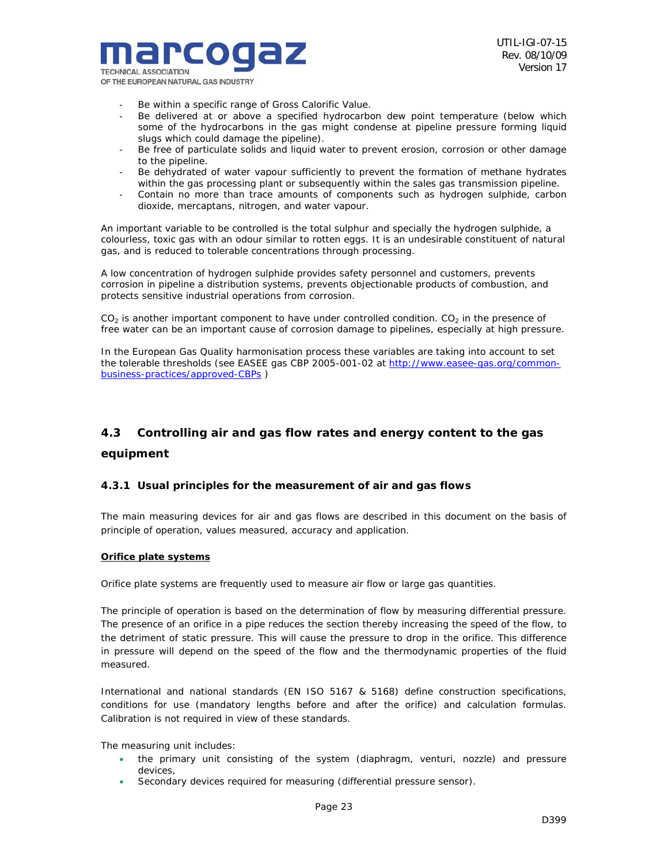

- Be within a specific range of Gross Calorific Value.
- Be delivered at or above a specified hydrocarbon dew point temperature (below which some of the hydrocarbons in the gas might condense at pipeline pressure forming liquid slugs which could damage the pipeline).
- Be free of particulate solids and liquid water to prevent erosion, corrosion or other damage to the pipeline.
- Be dehydrated of water vapour sufficiently to prevent the formation of methane hydrates within the gas processing plant or subsequently within the sales gas transmission pipeline.
- Contain no more than trace amounts of components such as hydrogen sulphide, carbon dioxide, mercaptans, nitrogen, and water vapour.

An important variable to be controlled is the total sulphur and specially the hydrogen sulphide, a colourless, toxic gas with an odour similar to rotten eggs. It is an undesirable constituent of natural gas, and is reduced to tolerable concentrations through processing.

A low concentration of hydrogen sulphide provides safety personnel and customers, prevents corrosion in pipeline a distribution systems, prevents objectionable products of combustion, and protects sensitive industrial operations from corrosion.

 $CO<sub>2</sub>$  is another important component to have under controlled condition.  $CO<sub>2</sub>$  in the presence of free water can be an important cause of corrosion damage to pipelines, especially at high pressure.

In the European Gas Quality harmonisation process these variables are taking into account to set the tolerable thresholds (see EASEE gas CBP 2005-001-02 at http://www.easee-gas.org/commonbusiness-practices/approved-CBPs )

## *4.3 Controlling air and gas flow rates and energy content to the gas equipment*

## *4.3.1 Usual principles for the measurement of air and gas flows*

The main measuring devices for air and gas flows are described in this document on the basis of principle of operation, values measured, accuracy and application.

#### **Orifice plate systems**

Orifice plate systems are frequently used to measure air flow or large gas quantities.

The principle of operation is based on the determination of flow by measuring differential pressure. The presence of an orifice in a pipe reduces the section thereby increasing the speed of the flow, to the detriment of static pressure. This will cause the pressure to drop in the orifice. This difference in pressure will depend on the speed of the flow and the thermodynamic properties of the fluid measured.

International and national standards (EN ISO 5167 & 5168) define construction specifications, conditions for use (mandatory lengths before and after the orifice) and calculation formulas. Calibration is not required in view of these standards.

The measuring unit includes:

- the primary unit consisting of the system (diaphragm, venturi, nozzle) and pressure devices,
- Secondary devices required for measuring (differential pressure sensor).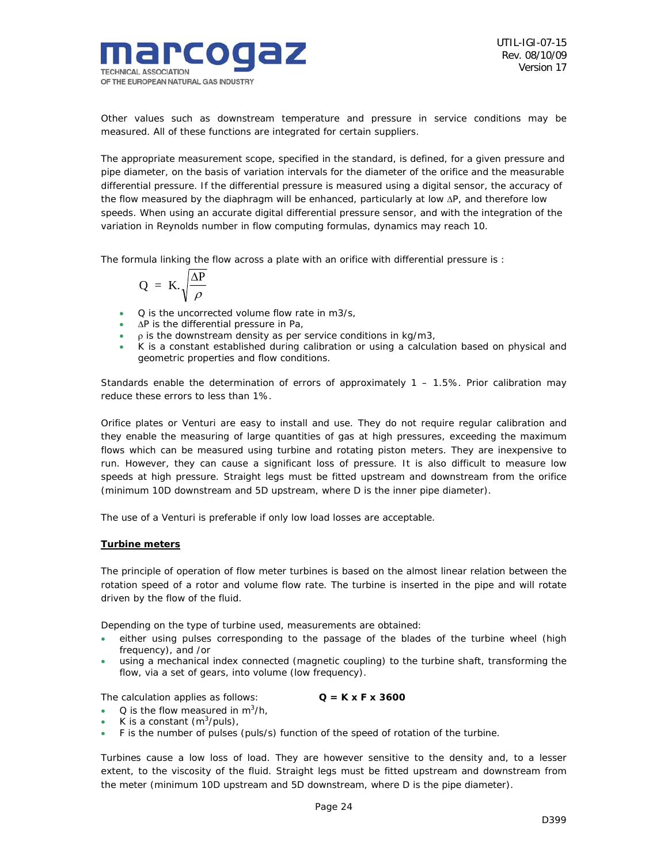

Other values such as downstream temperature and pressure in service conditions may be measured. All of these functions are integrated for certain suppliers.

The appropriate measurement scope, specified in the standard, is defined, for a given pressure and pipe diameter, on the basis of variation intervals for the diameter of the orifice and the measurable differential pressure. If the differential pressure is measured using a digital sensor, the accuracy of the flow measured by the diaphragm will be enhanced, particularly at low ∆P, and therefore low speeds. When using an accurate digital differential pressure sensor, and with the integration of the variation in Reynolds number in flow computing formulas, dynamics may reach 10.

The formula linking the flow across a plate with an orifice with differential pressure is :

$$
Q = K.\sqrt{\frac{\Delta P}{\rho}}
$$

- Q is the uncorrected volume flow rate in m3/s,
- ∆P is the differential pressure in Pa,
- $\cdot$  p is the downstream density as per service conditions in kg/m3,
- K is a constant established during calibration or using a calculation based on physical and geometric properties and flow conditions.

Standards enable the determination of errors of approximately  $1 - 1.5\%$ . Prior calibration may reduce these errors to less than 1%.

Orifice plates or Venturi are easy to install and use. They do not require regular calibration and they enable the measuring of large quantities of gas at high pressures, exceeding the maximum flows which can be measured using turbine and rotating piston meters. They are inexpensive to run. However, they can cause a significant loss of pressure. It is also difficult to measure low speeds at high pressure. Straight legs must be fitted upstream and downstream from the orifice (minimum 10D downstream and 5D upstream, where D is the inner pipe diameter).

The use of a Venturi is preferable if only low load losses are acceptable.

#### **Turbine meters**

The principle of operation of flow meter turbines is based on the almost linear relation between the rotation speed of a rotor and volume flow rate. The turbine is inserted in the pipe and will rotate driven by the flow of the fluid.

Depending on the type of turbine used, measurements are obtained:

- either using pulses corresponding to the passage of the blades of the turbine wheel (high frequency), and /or
- using a mechanical index connected (magnetic coupling) to the turbine shaft, transforming the flow, via a set of gears, into volume (low frequency).

The calculation applies as follows:  $Q = K \times F \times 3600$ 

- Q is the flow measured in  $m^3/h$ ,
- K is a constant  $(m^3/puls)$ ,
- F is the number of pulses (puls/s) function of the speed of rotation of the turbine.

Turbines cause a low loss of load. They are however sensitive to the density and, to a lesser extent, to the viscosity of the fluid. Straight legs must be fitted upstream and downstream from the meter (minimum 10D upstream and 5D downstream, where D is the pipe diameter).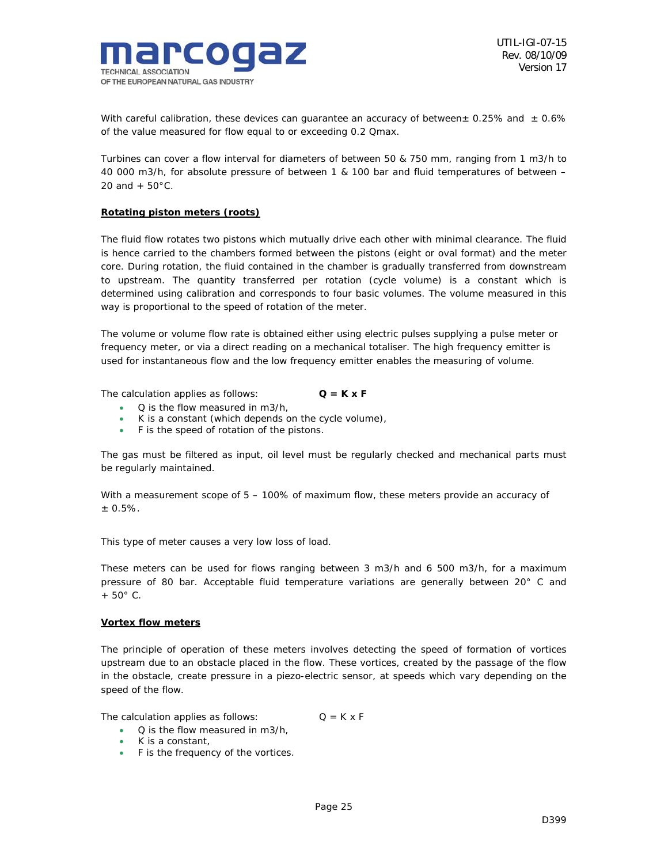

With careful calibration, these devices can guarantee an accuracy of between $\pm$  0.25% and  $\pm$  0.6% of the value measured for flow equal to or exceeding 0.2 Qmax.

Turbines can cover a flow interval for diameters of between 50 & 750 mm, ranging from 1 m3/h to 40 000 m3/h, for absolute pressure of between 1 & 100 bar and fluid temperatures of between – 20 and  $+ 50^{\circ}$ C.

#### **Rotating piston meters (roots)**

The fluid flow rotates two pistons which mutually drive each other with minimal clearance. The fluid is hence carried to the chambers formed between the pistons (eight or oval format) and the meter core. During rotation, the fluid contained in the chamber is gradually transferred from downstream to upstream. The quantity transferred per rotation (cycle volume) is a constant which is determined using calibration and corresponds to four basic volumes. The volume measured in this way is proportional to the speed of rotation of the meter.

The volume or volume flow rate is obtained either using electric pulses supplying a pulse meter or frequency meter, or via a direct reading on a mechanical totaliser. The high frequency emitter is used for instantaneous flow and the low frequency emitter enables the measuring of volume.

The calculation applies as follows: **Q = K x F**

- Q is the flow measured in m3/h,
- K is a constant (which depends on the cycle volume),
- F is the speed of rotation of the pistons.

The gas must be filtered as input, oil level must be regularly checked and mechanical parts must be regularly maintained.

With a measurement scope of  $5 - 100\%$  of maximum flow, these meters provide an accuracy of  $± 0.5%$ .

This type of meter causes a very low loss of load.

These meters can be used for flows ranging between 3 m3/h and 6 500 m3/h, for a maximum pressure of 80 bar. Acceptable fluid temperature variations are generally between 20° C and + 50° C.

#### **Vortex flow meters**

The principle of operation of these meters involves detecting the speed of formation of vortices upstream due to an obstacle placed in the flow. These vortices, created by the passage of the flow in the obstacle, create pressure in a piezo-electric sensor, at speeds which vary depending on the speed of the flow.

The calculation applies as follows:  $Q = K \times F$ 

- Q is the flow measured in m3/h,
- K is a constant,
- F is the frequency of the vortices.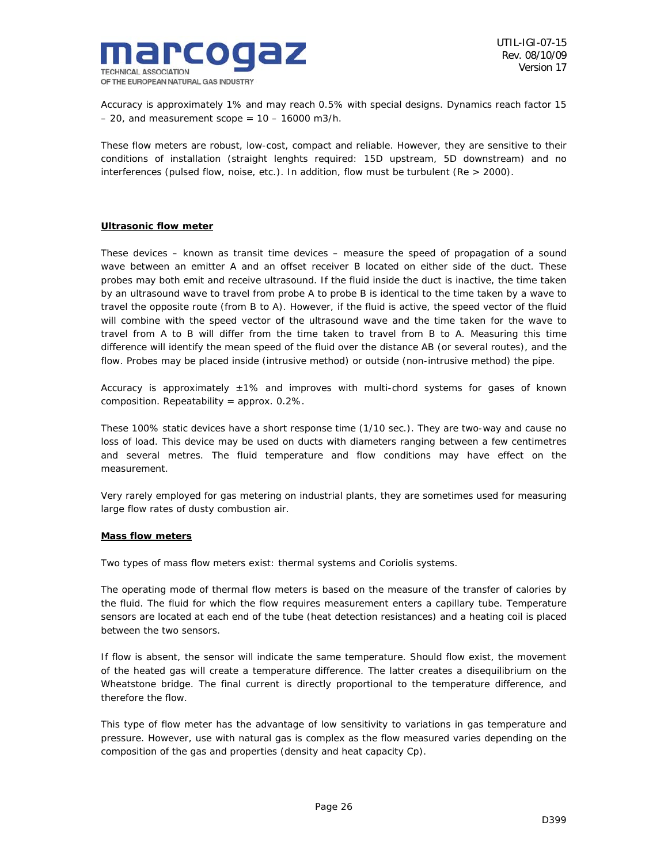

Accuracy is approximately 1% and may reach 0.5% with special designs. Dynamics reach factor 15  $-20$ , and measurement scope =  $10 - 16000$  m3/h.

These flow meters are robust, low-cost, compact and reliable. However, they are sensitive to their conditions of installation (straight lenghts required: 15D upstream, 5D downstream) and no interferences (pulsed flow, noise, etc.). In addition, flow must be turbulent (Re > 2000).

#### **Ultrasonic flow meter**

These devices – known as transit time devices – measure the speed of propagation of a sound wave between an emitter A and an offset receiver B located on either side of the duct. These probes may both emit and receive ultrasound. If the fluid inside the duct is inactive, the time taken by an ultrasound wave to travel from probe A to probe B is identical to the time taken by a wave to travel the opposite route (from B to A). However, if the fluid is active, the speed vector of the fluid will combine with the speed vector of the ultrasound wave and the time taken for the wave to travel from A to B will differ from the time taken to travel from B to A. Measuring this time difference will identify the mean speed of the fluid over the distance AB (or several routes), and the flow. Probes may be placed inside (intrusive method) or outside (non-intrusive method) the pipe.

Accuracy is approximately  $\pm 1\%$  and improves with multi-chord systems for gases of known composition. Repeatability = approx. 0.2%.

These 100% static devices have a short response time (1/10 sec.). They are two-way and cause no loss of load. This device may be used on ducts with diameters ranging between a few centimetres and several metres. The fluid temperature and flow conditions may have effect on the measurement.

Very rarely employed for gas metering on industrial plants, they are sometimes used for measuring large flow rates of dusty combustion air.

#### **Mass flow meters**

Two types of mass flow meters exist: thermal systems and Coriolis systems.

The operating mode of thermal flow meters is based on the measure of the transfer of calories by the fluid. The fluid for which the flow requires measurement enters a capillary tube. Temperature sensors are located at each end of the tube (heat detection resistances) and a heating coil is placed between the two sensors.

If flow is absent, the sensor will indicate the same temperature. Should flow exist, the movement of the heated gas will create a temperature difference. The latter creates a disequilibrium on the Wheatstone bridge. The final current is directly proportional to the temperature difference, and therefore the flow.

This type of flow meter has the advantage of low sensitivity to variations in gas temperature and pressure. However, use with natural gas is complex as the flow measured varies depending on the composition of the gas and properties (density and heat capacity Cp).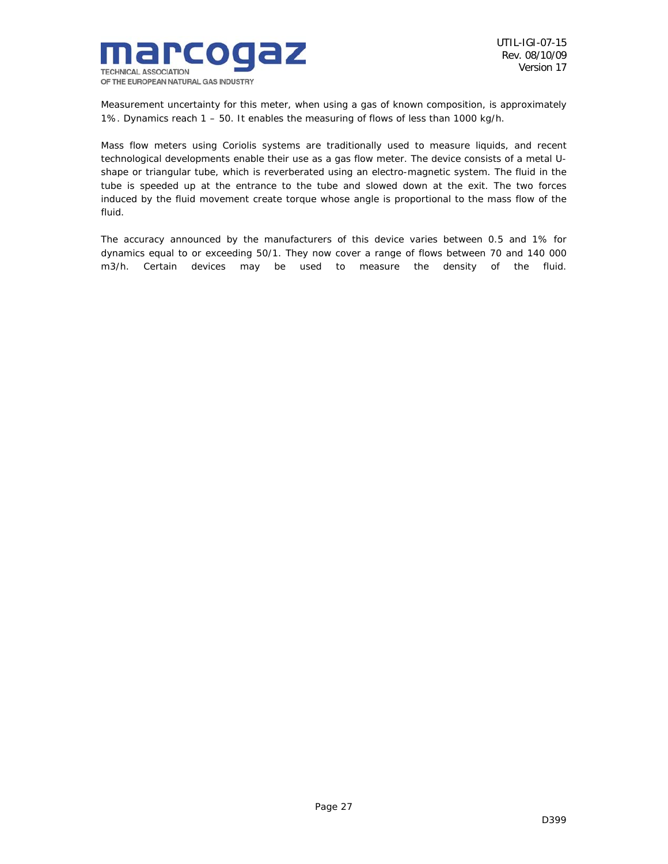

Measurement uncertainty for this meter, when using a gas of known composition, is approximately 1%. Dynamics reach 1 – 50. It enables the measuring of flows of less than 1000 kg/h.

Mass flow meters using Coriolis systems are traditionally used to measure liquids, and recent technological developments enable their use as a gas flow meter. The device consists of a metal Ushape or triangular tube, which is reverberated using an electro-magnetic system. The fluid in the tube is speeded up at the entrance to the tube and slowed down at the exit. The two forces induced by the fluid movement create torque whose angle is proportional to the mass flow of the fluid.

The accuracy announced by the manufacturers of this device varies between 0.5 and 1% for dynamics equal to or exceeding 50/1. They now cover a range of flows between 70 and 140 000 m3/h. Certain devices may be used to measure the density of the fluid.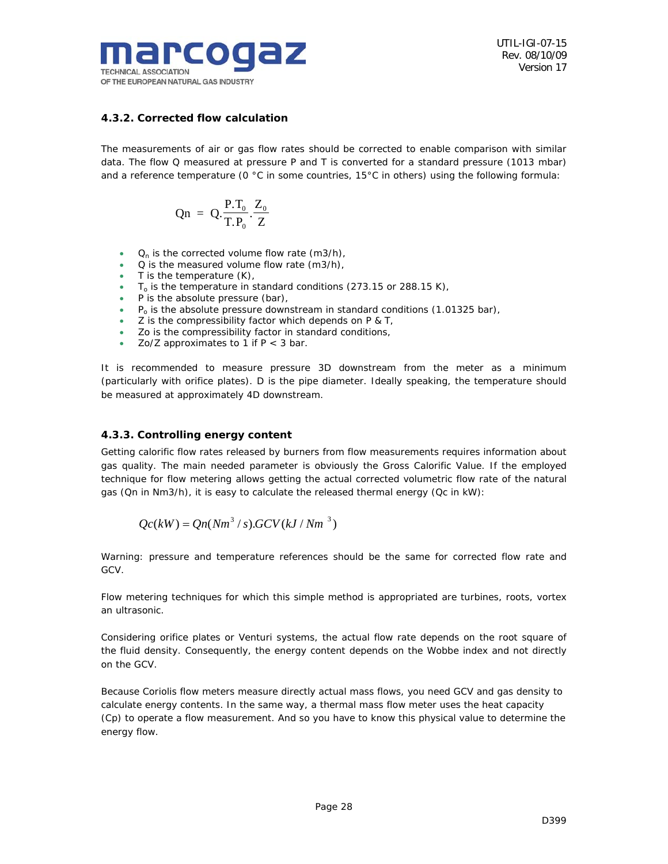

## *4.3.2. Corrected flow calculation*

The measurements of air or gas flow rates should be corrected to enable comparison with similar data. The flow Q measured at pressure P and T is converted for a standard pressure (1013 mbar) and a reference temperature (0 °C in some countries, 15°C in others) using the following formula:

$$
Qn = Q \cdot \frac{P.T_0}{T.P_0} \cdot \frac{Z_0}{Z}
$$

- $Q_n$  is the corrected volume flow rate (m3/h),
- Q is the measured volume flow rate (m3/h),
- $T$  is the temperature  $(K)$ ,
- $T<sub>o</sub>$  is the temperature in standard conditions (273.15 or 288.15 K),
- P is the absolute pressure (bar),
- $P_0$  is the absolute pressure downstream in standard conditions (1.01325 bar),
- Z is the compressibility factor which depends on P & T,
- Zo is the compressibility factor in standard conditions,
- Zo/Z approximates to 1 if  $P < 3$  bar.

It is recommended to measure pressure 3D downstream from the meter as a minimum (particularly with orifice plates). D is the pipe diameter. Ideally speaking, the temperature should be measured at approximately 4D downstream.

## *4.3.3. Controlling energy content*

Getting calorific flow rates released by burners from flow measurements requires information about gas quality. The main needed parameter is obviously the Gross Calorific Value. If the employed technique for flow metering allows getting the actual corrected volumetric flow rate of the natural gas (Qn in Nm3/h), it is easy to calculate the released thermal energy (Qc in kW):

$$
Qc(kW) = Qn(Nm3/s).GCV(kJ/Nm3)
$$

Warning: pressure and temperature references should be the same for corrected flow rate and GCV.

Flow metering techniques for which this simple method is appropriated are turbines, roots, vortex an ultrasonic.

Considering orifice plates or Venturi systems, the actual flow rate depends on the root square of the fluid density. Consequently, the energy content depends on the Wobbe index and not directly on the GCV.

Because Coriolis flow meters measure directly actual mass flows, you need GCV and gas density to calculate energy contents. In the same way, a thermal mass flow meter uses the heat capacity (Cp) to operate a flow measurement. And so you have to know this physical value to determine the energy flow.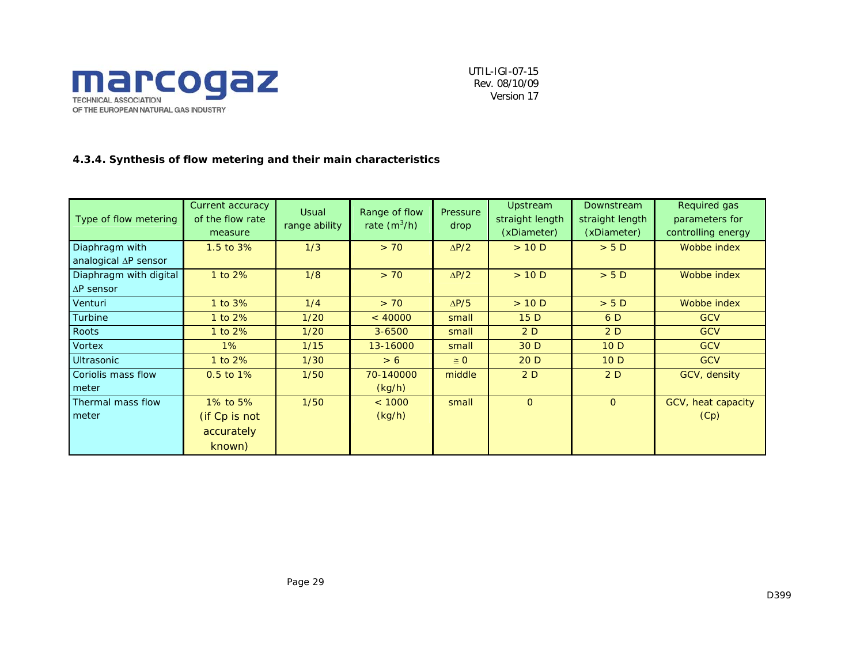

## *4.3.4. Synthesis of flow metering and their main characteristics*

| Type of flow metering  | Current accuracy<br>of the flow rate<br>measure | <b>Usual</b><br>range ability | Range of flow<br>rate $(m^3/h)$ | Pressure<br>drop | Upstream<br>straight length<br>(xDiameter) | Downstream<br>straight length<br>(xDiameter) | Required gas<br>parameters for<br>controlling energy |
|------------------------|-------------------------------------------------|-------------------------------|---------------------------------|------------------|--------------------------------------------|----------------------------------------------|------------------------------------------------------|
| Diaphragm with         | 1.5 to 3%                                       | 1/3                           | > 70                            | $\Delta P/2$     | >10 D                                      | > 5D                                         | Wobbe index                                          |
| analogical ∆P sensor   |                                                 |                               |                                 |                  |                                            |                                              |                                                      |
| Diaphragm with digital | 1 to 2%                                         | 1/8                           | > 70                            | $\Delta P/2$     | >10 D                                      | > 5D                                         | Wobbe index                                          |
| $\Delta P$ sensor      |                                                 |                               |                                 |                  |                                            |                                              |                                                      |
| Venturi                | 1 to 3%                                         | 1/4                           | > 70                            | $\Delta P/5$     | >10 D                                      | > 5 D                                        | Wobbe index                                          |
| Turbine                | 1 to $2\%$                                      | 1/20                          | < 40000                         | small            | 15D                                        | 6 D                                          | <b>GCV</b>                                           |
| Roots                  | 1 to $2\%$                                      | 1/20                          | $3 - 6500$                      | small            | 2D                                         | 2D                                           | <b>GCV</b>                                           |
| Vortex                 | $1\%$                                           | 1/15                          | 13-16000                        | small            | 30 D                                       | 10D                                          | <b>GCV</b>                                           |
| <b>Ultrasonic</b>      | 1 to 2%                                         | 1/30                          | > 6                             | $\cong$ 0        | 20D                                        | 10D                                          | <b>GCV</b>                                           |
| Coriolis mass flow     | 0.5 to 1%                                       | 1/50                          | 70-140000                       | middle           | 2D                                         | 2D                                           | GCV, density                                         |
| meter                  |                                                 |                               | (kg/h)                          |                  |                                            |                                              |                                                      |
| Thermal mass flow      | 1% to 5%                                        | 1/50                          | < 1000                          | small            | $\overline{0}$                             | $\overline{O}$                               | GCV, heat capacity                                   |
| meter                  | (if Cp is not                                   |                               | (kg/h)                          |                  |                                            |                                              | (Cp)                                                 |
|                        | accurately                                      |                               |                                 |                  |                                            |                                              |                                                      |
|                        | known)                                          |                               |                                 |                  |                                            |                                              |                                                      |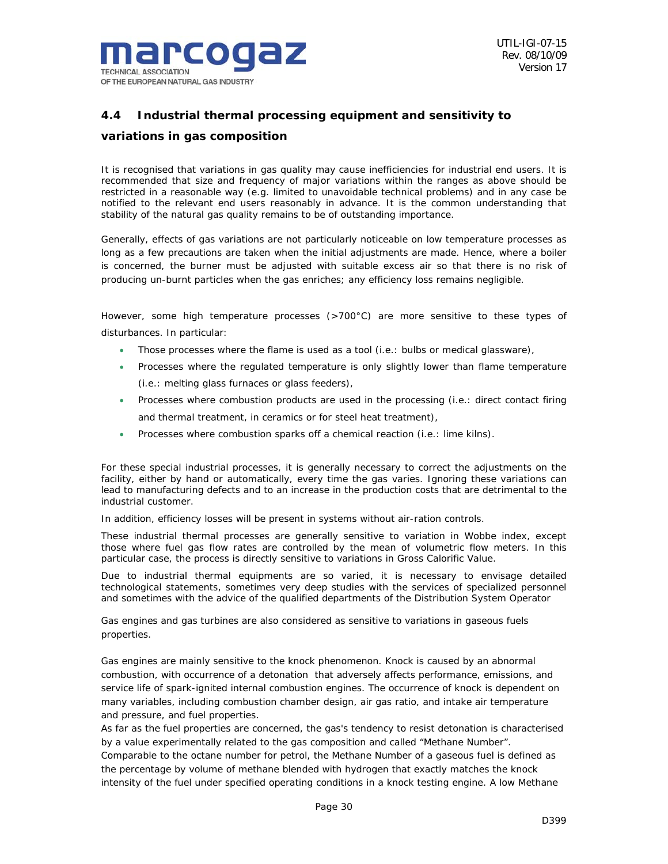

## *4.4 Industrial thermal processing equipment and sensitivity to*

## *variations in gas composition*

It is recognised that variations in gas quality may cause inefficiencies for industrial end users. It is recommended that size and frequency of major variations within the ranges as above should be restricted in a reasonable way (e.g. limited to unavoidable technical problems) and in any case be notified to the relevant end users reasonably in advance. It is the common understanding that stability of the natural gas quality remains to be of outstanding importance.

Generally, effects of gas variations are not particularly noticeable on low temperature processes as long as a few precautions are taken when the initial adjustments are made. Hence, where a boiler is concerned, the burner must be adjusted with suitable excess air so that there is no risk of producing un-burnt particles when the gas enriches; any efficiency loss remains negligible.

However, some high temperature processes (>700°C) are more sensitive to these types of disturbances. In particular:

- Those processes where the flame is used as a tool (i.e.: bulbs or medical glassware),
- Processes where the regulated temperature is only slightly lower than flame temperature (i.e.: melting glass furnaces or glass feeders),
- Processes where combustion products are used in the processing (i.e.: direct contact firing and thermal treatment, in ceramics or for steel heat treatment),
- Processes where combustion sparks off a chemical reaction (i.e.: lime kilns).

For these special industrial processes, it is generally necessary to correct the adjustments on the facility, either by hand or automatically, every time the gas varies. Ignoring these variations can lead to manufacturing defects and to an increase in the production costs that are detrimental to the industrial customer.

In addition, efficiency losses will be present in systems without air-ration controls.

These industrial thermal processes are generally sensitive to variation in Wobbe index, except those where fuel gas flow rates are controlled by the mean of volumetric flow meters. In this particular case, the process is directly sensitive to variations in Gross Calorific Value.

Due to industrial thermal equipments are so varied, it is necessary to envisage detailed technological statements, sometimes very deep studies with the services of specialized personnel and sometimes with the advice of the qualified departments of the Distribution System Operator

Gas engines and gas turbines are also considered as sensitive to variations in gaseous fuels properties.

Gas engines are mainly sensitive to the knock phenomenon. Knock is caused by an abnormal combustion, with occurrence of a detonation that adversely affects performance, emissions, and service life of spark-ignited internal combustion engines. The occurrence of knock is dependent on many variables, including combustion chamber design, air gas ratio, and intake air temperature and pressure, and fuel properties.

As far as the fuel properties are concerned, the gas's tendency to resist detonation is characterised by a value experimentally related to the gas composition and called "Methane Number". Comparable to the octane number for petrol, the Methane Number of a gaseous fuel is defined as the percentage by volume of methane blended with hydrogen that exactly matches the knock intensity of the fuel under specified operating conditions in a knock testing engine. A low Methane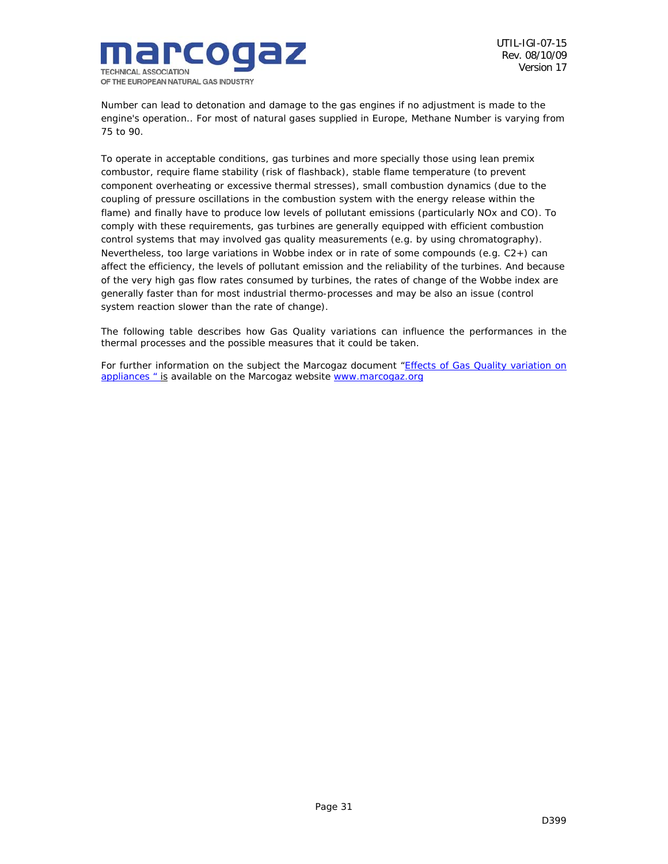

Number can lead to detonation and damage to the gas engines if no adjustment is made to the engine's operation.. For most of natural gases supplied in Europe, Methane Number is varying from 75 to 90.

To operate in acceptable conditions, gas turbines and more specially those using lean premix combustor, require flame stability (risk of flashback), stable flame temperature (to prevent component overheating or excessive thermal stresses), small combustion dynamics (due to the coupling of pressure oscillations in the combustion system with the energy release within the flame) and finally have to produce low levels of pollutant emissions (particularly NOx and CO). To comply with these requirements, gas turbines are generally equipped with efficient combustion control systems that may involved gas quality measurements (e.g. by using chromatography). Nevertheless, too large variations in Wobbe index or in rate of some compounds (e.g. C2+) can affect the efficiency, the levels of pollutant emission and the reliability of the turbines. And because of the very high gas flow rates consumed by turbines, the rates of change of the Wobbe index are generally faster than for most industrial thermo-processes and may be also an issue (control system reaction slower than the rate of change).

The following table describes how Gas Quality variations can influence the performances in the thermal processes and the possible measures that it could be taken.

For further information on the subject the Marcogaz document "Effects of Gas Quality variation on appliances " is available on the Marcogaz website www.marcogaz.org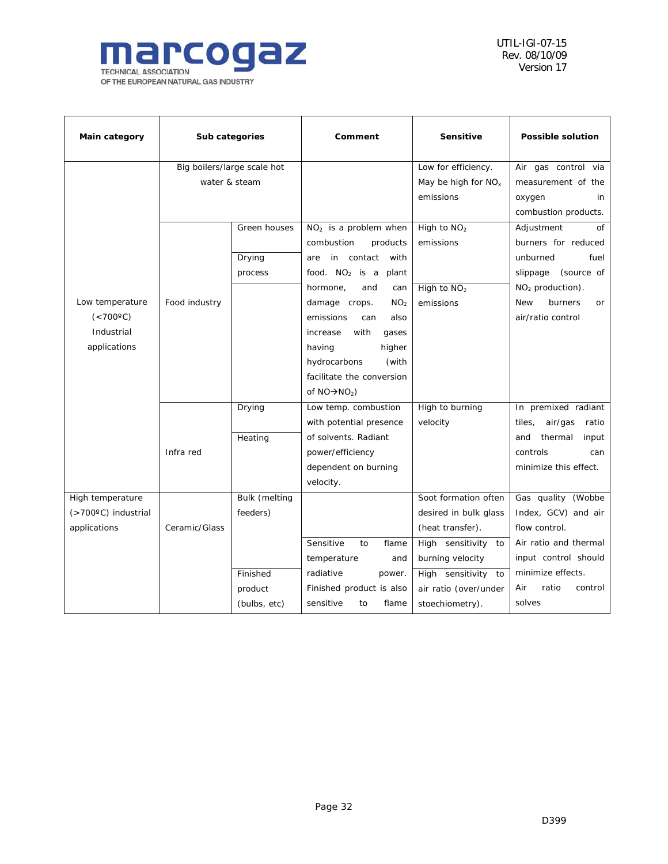

| Main category       |               | Sub categories              | Comment                          | <b>Sensitive</b>                | <b>Possible solution</b>           |
|---------------------|---------------|-----------------------------|----------------------------------|---------------------------------|------------------------------------|
|                     |               | Big boilers/large scale hot |                                  | Low for efficiency.             | Air gas control via                |
|                     | water & steam |                             |                                  | May be high for NO <sub>x</sub> | measurement of the                 |
|                     |               |                             |                                  | emissions                       | oxygen<br>in                       |
|                     |               |                             |                                  |                                 | combustion products.               |
|                     |               | Green houses                | $NO2$ is a problem when          | High to $NO2$                   | Adjustment<br>of                   |
|                     |               |                             | combustion<br>products           | emissions                       | burners for reduced                |
|                     |               | Drying                      | in contact<br>with<br>are        |                                 | fuel<br>unburned                   |
|                     |               | process                     | food. $NO2$ is a<br>plant        |                                 | (source of<br>slippage             |
|                     |               |                             | hormone,<br>and<br>can           | High to NO <sub>2</sub>         | NO <sub>2</sub> production).       |
| Low temperature     | Food industry |                             | damage crops.<br>NO <sub>2</sub> | emissions                       | <b>New</b><br>burners<br><b>or</b> |
| $(<700^{\circ}C)$   |               |                             | emissions<br>also<br>can         |                                 | air/ratio control                  |
| Industrial          |               |                             | with<br>increase<br>gases        |                                 |                                    |
| applications        |               |                             | having<br>higher                 |                                 |                                    |
|                     |               |                             | hydrocarbons<br>(with            |                                 |                                    |
|                     |               |                             | facilitate the conversion        |                                 |                                    |
|                     |               |                             | of $NO\rightarrow NO_2$ )        |                                 |                                    |
|                     |               | Drying                      | Low temp. combustion             | High to burning                 | In premixed radiant                |
|                     |               |                             | with potential presence          | velocity                        | air/gas<br>tiles,<br>ratio         |
|                     |               | Heating                     | of solvents. Radiant             |                                 | thermal<br>input<br>and            |
|                     | Infra red     |                             | power/efficiency                 |                                 | controls<br>can                    |
|                     |               |                             | dependent on burning             |                                 | minimize this effect.              |
|                     |               |                             | velocity.                        |                                 |                                    |
| High temperature    |               | Bulk (melting               |                                  | Soot formation often            | Gas quality (Wobbe                 |
| (>700°C) industrial |               | feeders)                    |                                  | desired in bulk glass           | Index, GCV) and air                |
| applications        | Ceramic/Glass |                             |                                  | (heat transfer).                | flow control.                      |
|                     |               |                             | Sensitive<br>to<br>flame         | High sensitivity<br>to          | Air ratio and thermal              |
|                     |               |                             | temperature<br>and               | burning velocity                | input control should               |
|                     |               | Finished                    | radiative<br>power.              | High sensitivity<br>to          | minimize effects.                  |
|                     |               | product                     | Finished product is also         | air ratio (over/under           | Air<br>ratio<br>control            |
|                     |               | (bulbs, etc)                | sensitive<br>flame<br>to         | stoechiometry).                 | solves                             |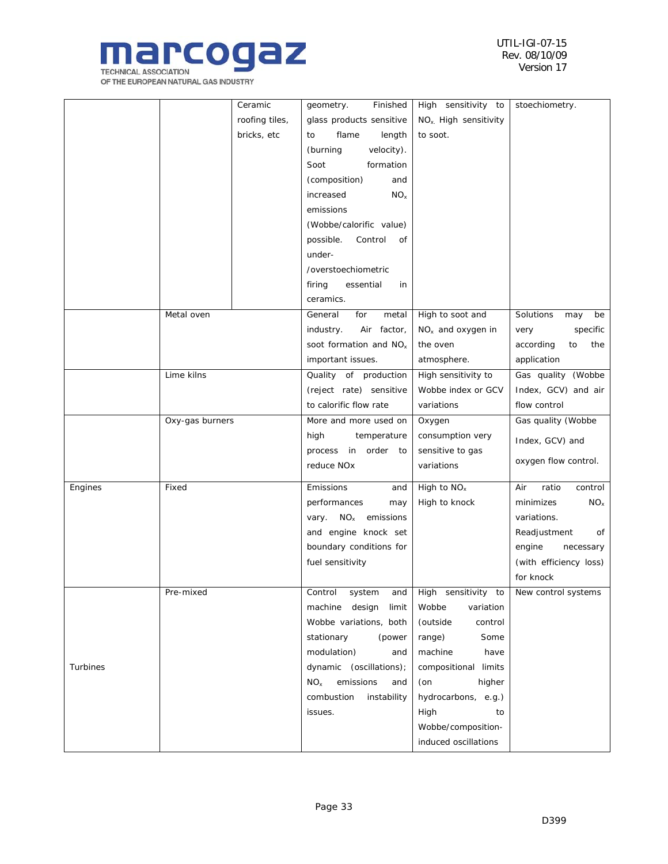

|          |                 | Ceramic                 | geometry.<br>Finished              | High sensitivity to                | stoechiometry.          |
|----------|-----------------|-------------------------|------------------------------------|------------------------------------|-------------------------|
|          |                 | roofing tiles,          | glass products sensitive           | NO <sub>x</sub> . High sensitivity |                         |
|          |                 | bricks, etc             | flame<br>length<br>to              | to soot.                           |                         |
|          |                 |                         | (burning<br>velocity).             |                                    |                         |
|          |                 |                         | Soot<br>formation                  |                                    |                         |
|          |                 |                         | (composition)<br>and               |                                    |                         |
|          |                 |                         | increased<br>NO <sub>x</sub>       |                                    |                         |
|          |                 |                         | emissions                          |                                    |                         |
|          |                 |                         | (Wobbe/calorific value)            |                                    |                         |
|          |                 |                         | possible.<br>Control<br>of         |                                    |                         |
|          |                 |                         | under-                             |                                    |                         |
|          |                 |                         | /overstoechiometric                |                                    |                         |
|          |                 |                         | firing<br>essential<br>in          |                                    |                         |
|          |                 |                         | ceramics.                          |                                    |                         |
|          | Metal oven      |                         | General<br>for<br>metal            | High to soot and                   | Solutions<br>may<br>be  |
|          |                 |                         | industry.<br>Air factor,           | $NOx$ and oxygen in                | specific<br>very        |
|          |                 |                         | soot formation and NO <sub>x</sub> | the oven                           | according<br>the<br>to  |
|          |                 |                         | important issues.                  | atmosphere.                        | application             |
|          |                 |                         |                                    | High sensitivity to                | Gas quality (Wobbe      |
|          | Lime kilns      |                         | Quality of production              |                                    | Index, GCV) and air     |
|          |                 |                         | (reject rate) sensitive            | Wobbe index or GCV                 |                         |
|          |                 |                         | to calorific flow rate             | variations                         | flow control            |
|          | Oxy-gas burners |                         | More and more used on              | Oxygen                             | Gas quality (Wobbe      |
|          |                 |                         | high<br>temperature                | consumption very                   | Index, GCV) and         |
|          |                 |                         | process in order to                | sensitive to gas                   | oxygen flow control.    |
|          |                 |                         | reduce NOx                         | variations                         |                         |
| Engines  | Fixed           |                         | Emissions<br>and                   | High to $NOx$                      | control<br>Air<br>ratio |
|          |                 |                         | performances<br>may                | High to knock                      | minimizes<br>$NO_{x}$   |
|          |                 |                         | $NO_{x}$<br>emissions<br>vary.     |                                    | variations.             |
|          |                 |                         | and engine knock set               |                                    | Readjustment<br>of      |
|          |                 | boundary conditions for |                                    | engine<br>necessary                |                         |
|          |                 | fuel sensitivity        |                                    | (with efficiency loss)             |                         |
|          |                 |                         |                                    |                                    | for knock               |
|          | Pre-mixed       |                         | Control<br>system<br>and           | High sensitivity to                | New control systems     |
|          |                 |                         | machine design<br>limit            | Wobbe<br>variation                 |                         |
|          |                 |                         | Wobbe variations, both             | (outside<br>control                |                         |
|          |                 |                         | stationary<br>(power               | range)<br>Some                     |                         |
|          |                 |                         | modulation)<br>and                 | machine<br>have                    |                         |
| Turbines |                 |                         | dynamic (oscillations);            | compositional limits               |                         |
|          |                 |                         | $NO_{x}$<br>emissions<br>and       | (on<br>higher                      |                         |
|          |                 |                         | combustion<br>instability          | hydrocarbons, e.g.)                |                         |
|          |                 |                         | issues.                            | High<br>to                         |                         |
|          |                 |                         |                                    | Wobbe/composition-                 |                         |
|          |                 |                         |                                    |                                    |                         |
|          |                 |                         |                                    | induced oscillations               |                         |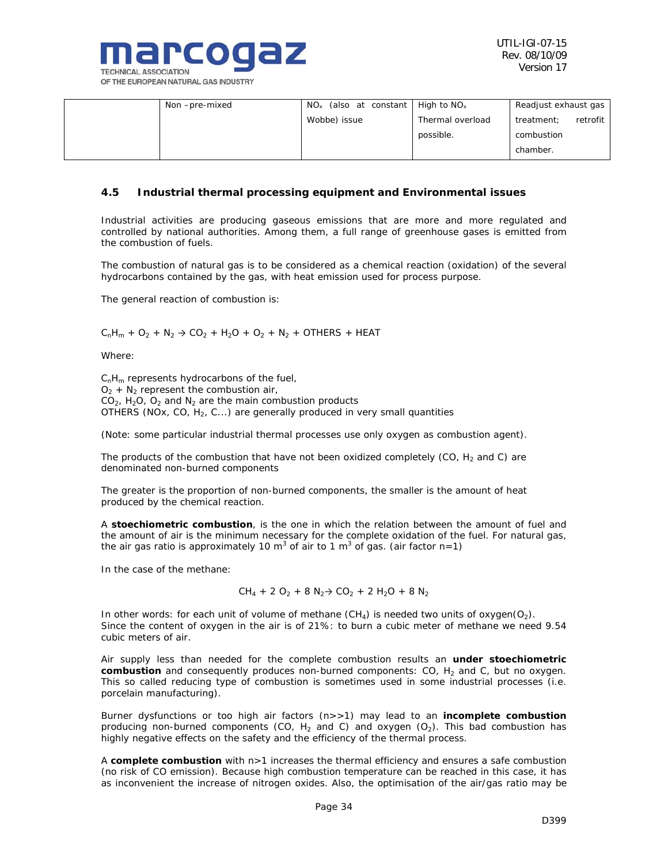

| Non-pre-mixed | $NO_{x}$<br>(also at constant | High to $NOx$    | Readjust exhaust gas   |
|---------------|-------------------------------|------------------|------------------------|
|               | Wobbe) issue                  | Thermal overload | retrofit<br>treatment: |
|               |                               | possible.        | combustion             |
|               |                               |                  | chamber.               |

### *4.5 Industrial thermal processing equipment and Environmental issues*

Industrial activities are producing gaseous emissions that are more and more regulated and controlled by national authorities. Among them, a full range of greenhouse gases is emitted from the combustion of fuels.

The combustion of natural gas is to be considered as a chemical reaction (oxidation) of the several hydrocarbons contained by the gas, with heat emission used for process purpose.

The general reaction of combustion is:

 $C_1H_m + O_2 + N_2 \rightarrow CO_2 + H_2O + O_2 + N_2 + OTHERS + HEAT$ 

Where:

 $C_nH_m$  represents hydrocarbons of the fuel,  $O_2$  + N<sub>2</sub> represent the combustion air,  $CO<sub>2</sub>$ , H<sub>2</sub>O, O<sub>2</sub> and N<sub>2</sub> are the main combustion products OTHERS (NOx, CO,  $H_2$ , C...) are generally produced in very small quantities

(Note: some particular industrial thermal processes use only oxygen as combustion agent).

The products of the combustion that have not been oxidized completely (CO,  $H_2$  and C) are denominated non-burned components

The greater is the proportion of non-burned components, the smaller is the amount of heat produced by the chemical reaction.

A **stoechiometric combustion**, is the one in which the relation between the amount of fuel and the amount of air is the minimum necessary for the complete oxidation of the fuel. For natural gas, the air gas ratio is approximately 10 m<sup>3</sup> of air to 1 m<sup>3</sup> of gas. (air factor n=1)

In the case of the methane:

$$
CH_4 + 2 O_2 + 8 N_2 \rightarrow CO_2 + 2 H_2O + 8 N_2
$$

In other words: for each unit of volume of methane  $(CH_4)$  is needed two units of oxygen( $O_2$ ). Since the content of oxygen in the air is of 21%: to burn a cubic meter of methane we need 9.54 cubic meters of air.

Air supply less than needed for the complete combustion results an **under stoechiometric combustion** and consequently produces non-burned components: CO, H<sub>2</sub> and C, but no oxygen. This so called reducing type of combustion is sometimes used in some industrial processes (i.e. porcelain manufacturing).

Burner dysfunctions or too high air factors (n>>1) may lead to an **incomplete combustion** producing non-burned components (CO,  $H_2$  and C) and oxygen (O<sub>2</sub>). This bad combustion has highly negative effects on the safety and the efficiency of the thermal process.

A **complete combustion** with n>1 increases the thermal efficiency and ensures a safe combustion (no risk of CO emission). Because high combustion temperature can be reached in this case, it has as inconvenient the increase of nitrogen oxides. Also, the optimisation of the air/gas ratio may be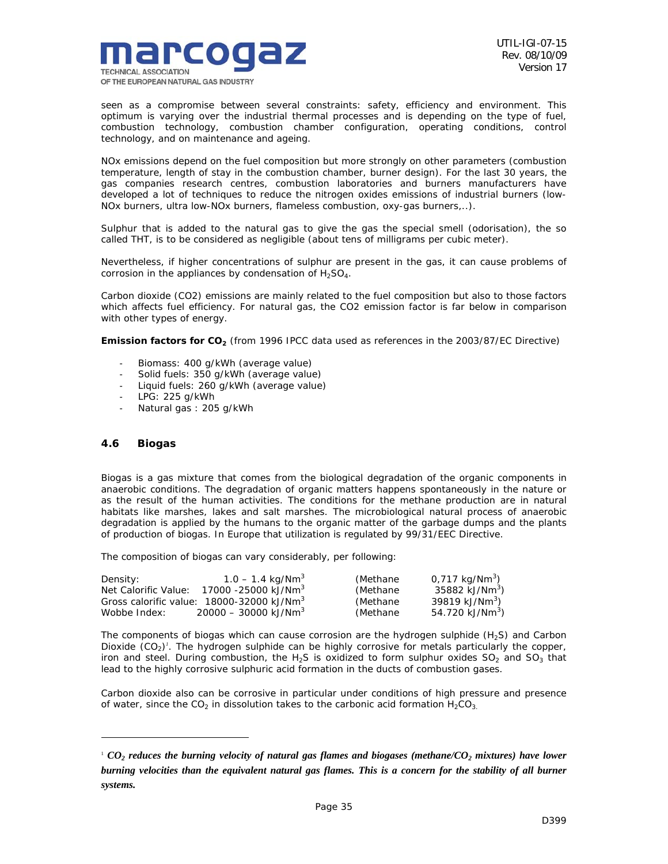

seen as a compromise between several constraints: safety, efficiency and environment. This optimum is varying over the industrial thermal processes and is depending on the type of fuel, combustion technology, combustion chamber configuration, operating conditions, control technology, and on maintenance and ageing.

NOx emissions depend on the fuel composition but more strongly on other parameters (combustion temperature, length of stay in the combustion chamber, burner design). For the last 30 years, the gas companies research centres, combustion laboratories and burners manufacturers have developed a lot of techniques to reduce the nitrogen oxides emissions of industrial burners (low-NOx burners, ultra low-NOx burners, flameless combustion, oxy-gas burners,..).

Sulphur that is added to the natural gas to give the gas the special smell (odorisation), the so called THT, is to be considered as negligible (about tens of milligrams per cubic meter).

Nevertheless, if higher concentrations of sulphur are present in the gas, it can cause problems of corrosion in the appliances by condensation of  $H_2SO_4$ .

Carbon dioxide (CO2) emissions are mainly related to the fuel composition but also to those factors which affects fuel efficiency. For natural gas, the CO2 emission factor is far below in comparison with other types of energy.

**Emission factors for CO<sub>2</sub>** (from 1996 IPCC data used as references in the 2003/87/EC Directive)

- Biomass: 400 g/kWh (average value)
- Solid fuels: 350 g/kWh (average value)
- Liquid fuels: 260 g/kWh (average value)
- LPG: 225 g/kWh
- Natural gas : 205 g/kWh

## *4.6 Biogas*

ł

Biogas is a gas mixture that comes from the biological degradation of the organic components in anaerobic conditions. The degradation of organic matters happens spontaneously in the nature or as the result of the human activities. The conditions for the methane production are in natural habitats like marshes, lakes and salt marshes. The microbiological natural process of anaerobic degradation is applied by the humans to the organic matter of the garbage dumps and the plants of production of biogas. In Europe that utilization is regulated by 99/31/EEC Directive.

The composition of biogas can vary considerably, per following:

| Density:             | $1.0 - 1.4$ kg/Nm <sup>3</sup>                        | (Methane) | 0,717 kg/Nm <sup>3</sup> )  |
|----------------------|-------------------------------------------------------|-----------|-----------------------------|
| Net Calorific Value: | 17000 -25000 kJ/Nm <sup>3</sup>                       | (Methane) | 35882 kJ/Nm <sup>3</sup> )  |
|                      | Gross calorific value: 18000-32000 kJ/Nm <sup>3</sup> | (Methane) | 39819 kJ/Nm <sup>3</sup> )  |
| Wobbe Index:         | $20000 - 30000$ kJ/Nm <sup>3</sup>                    | (Methane) | 54.720 kJ/Nm <sup>3</sup> ) |

The components of biogas which can cause corrosion are the hydrogen sulphide  $(H<sub>2</sub>S)$  and Carbon Dioxide (CO<sub>2</sub>)<sup>*I*</sup>. The hydrogen sulphide can be highly corrosive for metals particularly the copper, iron and steel. During combustion, the H<sub>2</sub>S is oxidized to form sulphur oxides  $SO_2$  and  $SO_3$  that lead to the highly corrosive sulphuric acid formation in the ducts of combustion gases.

Carbon dioxide also can be corrosive in particular under conditions of high pressure and presence of water, since the CO<sub>2</sub> in dissolution takes to the carbonic acid formation  $H_2CO_3$ .

 $1$   $CO<sub>2</sub>$  reduces the burning velocity of natural gas flames and biogases (methane/ $CO<sub>2</sub>$  mixtures) have lower *burning velocities than the equivalent natural gas flames. This is a concern for the stability of all burner systems.*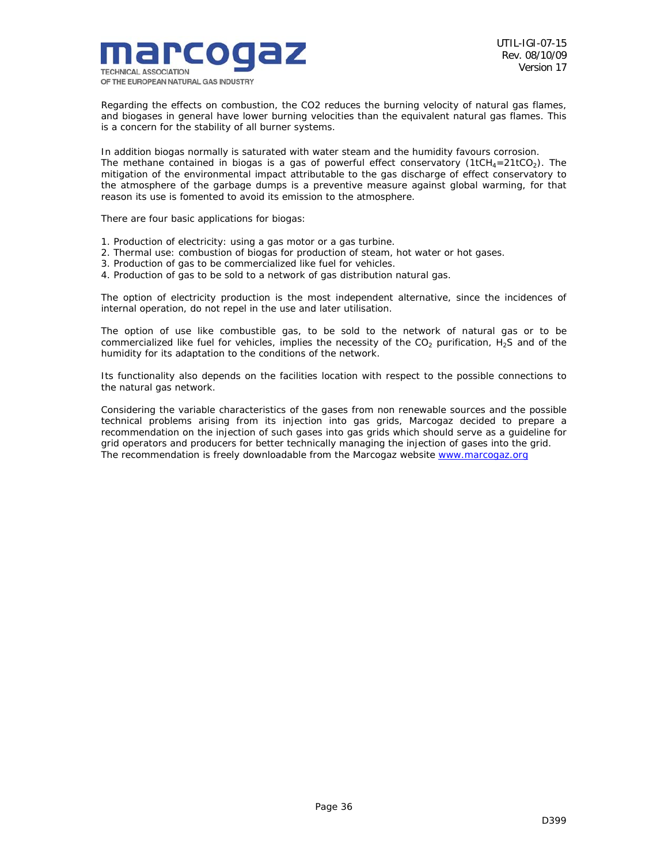

Regarding the effects on combustion, the CO2 reduces the burning velocity of natural gas flames, and biogases in general have lower burning velocities than the equivalent natural gas flames. This is a concern for the stability of all burner systems.

In addition biogas normally is saturated with water steam and the humidity favours corrosion. The methane contained in biogas is a gas of powerful effect conservatory (1tCH<sub>4</sub>=21tCO<sub>2</sub>). The mitigation of the environmental impact attributable to the gas discharge of effect conservatory to the atmosphere of the garbage dumps is a preventive measure against global warming, for that reason its use is fomented to avoid its emission to the atmosphere.

There are four basic applications for biogas:

- 1. Production of electricity: using a gas motor or a gas turbine.
- 2. Thermal use: combustion of biogas for production of steam, hot water or hot gases.
- 3. Production of gas to be commercialized like fuel for vehicles.
- 4. Production of gas to be sold to a network of gas distribution natural gas.

The option of electricity production is the most independent alternative, since the incidences of internal operation, do not repel in the use and later utilisation.

The option of use like combustible gas, to be sold to the network of natural gas or to be commercialized like fuel for vehicles, implies the necessity of the  $CO<sub>2</sub>$  purification, H<sub>2</sub>S and of the humidity for its adaptation to the conditions of the network.

Its functionality also depends on the facilities location with respect to the possible connections to the natural gas network.

Considering the variable characteristics of the gases from non renewable sources and the possible technical problems arising from its injection into gas grids, Marcogaz decided to prepare a recommendation on the injection of such gases into gas grids which should serve as a guideline for grid operators and producers for better technically managing the injection of gases into the grid. The recommendation is freely downloadable from the Marcogaz website www.marcogaz.org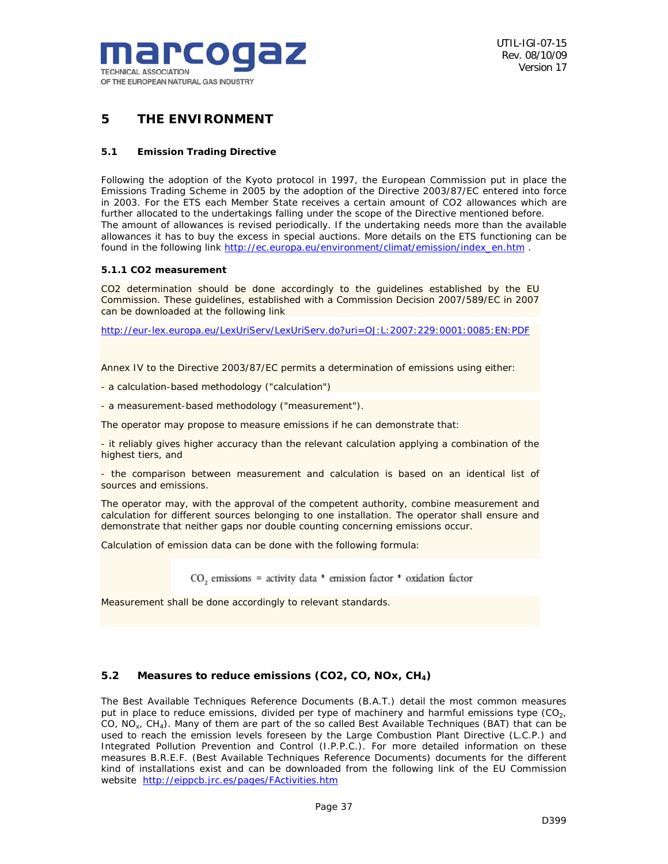

## *5 THE ENVIRONMENT*

#### **5.1 Emission Trading Directive**

Following the adoption of the Kyoto protocol in 1997, the European Commission put in place the Emissions Trading Scheme in 2005 by the adoption of the Directive 2003/87/EC entered into force in 2003. For the ETS each Member State receives a certain amount of CO2 allowances which are further allocated to the undertakings falling under the scope of the Directive mentioned before. The amount of allowances is revised periodically. If the undertaking needs more than the available allowances it has to buy the excess in special auctions. More details on the ETS functioning can be found in the following link http://ec.europa.eu/environment/climat/emission/index\_en.htm .

#### **5.1.1 CO2 measurement**

CO2 determination should be done accordingly to the guidelines established by the EU Commission. These guidelines, established with a Commission Decision 2007/589/EC in 2007 can be downloaded at the following link

http://eur-lex.europa.eu/LexUriServ/LexUriServ.do?uri=OJ:L:2007:229:0001:0085:EN:PDF

Annex IV to the Directive 2003/87/EC permits a determination of emissions using either:

- a calculation-based methodology ("calculation")

- a measurement-based methodology ("measurement").

The operator may propose to measure emissions if he can demonstrate that:

- it reliably gives higher accuracy than the relevant calculation applying a combination of the highest tiers, and

- the comparison between measurement and calculation is based on an identical list of sources and emissions.

The operator may, with the approval of the competent authority, combine measurement and calculation for different sources belonging to one installation. The operator shall ensure and demonstrate that neither gaps nor double counting concerning emissions occur.

Calculation of emission data can be done with the following formula:

 $CO<sub>2</sub>$  emissions = activity data \* emission factor \* oxidation factor

Measurement shall be done accordingly to relevant standards.

## *5.2 Measures to reduce emissions (CO2, CO, NOx, CH4)*

The Best Available Techniques Reference Documents (B.A.T.) detail the most common measures put in place to reduce emissions, divided per type of machinery and harmful emissions type  $(CO<sub>2</sub>)$ , CO,  $NO<sub>x</sub>$ ,  $CH<sub>4</sub>$ ). Many of them are part of the so called Best Available Techniques (BAT) that can be used to reach the emission levels foreseen by the Large Combustion Plant Directive (L.C.P.) and Integrated Pollution Prevention and Control (I.P.P.C.). For more detailed information on these measures B.R.E.F. (Best Available Techniques Reference Documents) documents for the different kind of installations exist and can be downloaded from the following link of the EU Commission website http://eippcb.jrc.es/pages/FActivities.htm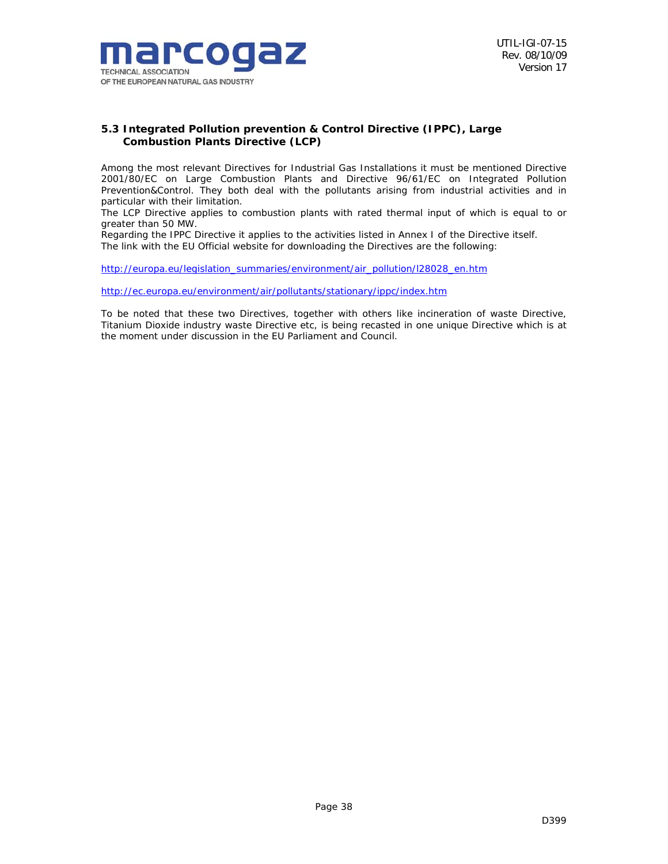

## *5.3 Integrated Pollution prevention & Control Directive (IPPC), Large Combustion Plants Directive (LCP)*

Among the most relevant Directives for Industrial Gas Installations it must be mentioned Directive 2001/80/EC on Large Combustion Plants and Directive 96/61/EC on Integrated Pollution Prevention&Control. They both deal with the pollutants arising from industrial activities and in particular with their limitation.

The LCP Directive applies to combustion plants with rated thermal input of which is equal to or greater than 50 MW.

Regarding the IPPC Directive it applies to the activities listed in Annex I of the Directive itself. The link with the EU Official website for downloading the Directives are the following:

http://europa.eu/legislation\_summaries/environment/air\_pollution/l28028\_en.htm

http://ec.europa.eu/environment/air/pollutants/stationary/ippc/index.htm

To be noted that these two Directives, together with others like incineration of waste Directive, Titanium Dioxide industry waste Directive etc, is being recasted in one unique Directive which is at the moment under discussion in the EU Parliament and Council.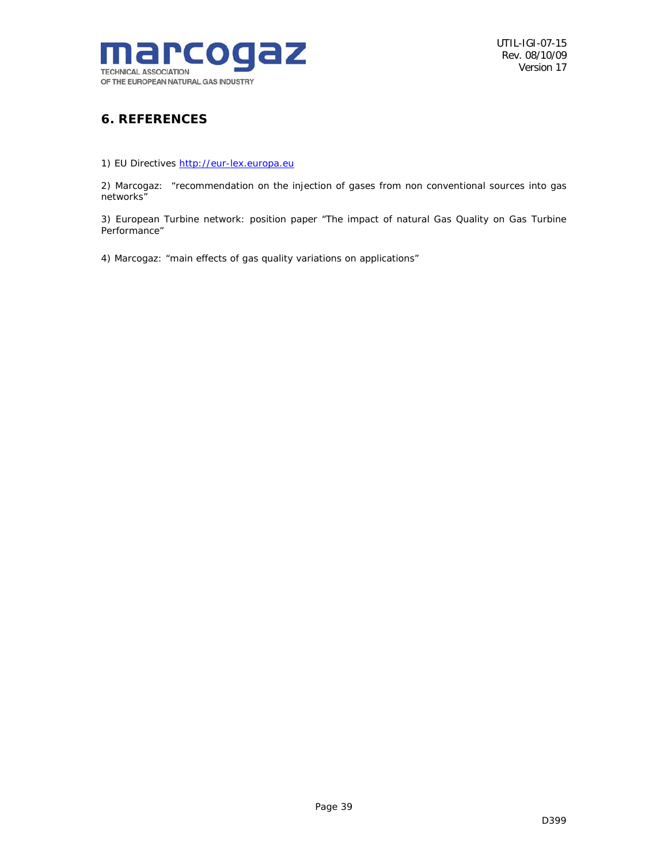

## *6. REFERENCES*

1) EU Directives http://eur-lex.europa.eu

2) Marcogaz: "*recommendation on the injection of gases from non conventional sources into gas networks"* 

3) European Turbine network: position paper "*The impact of natural Gas Quality on Gas Turbine Performance"* 

4) Marcogaz: "main effects of gas quality variations on applications"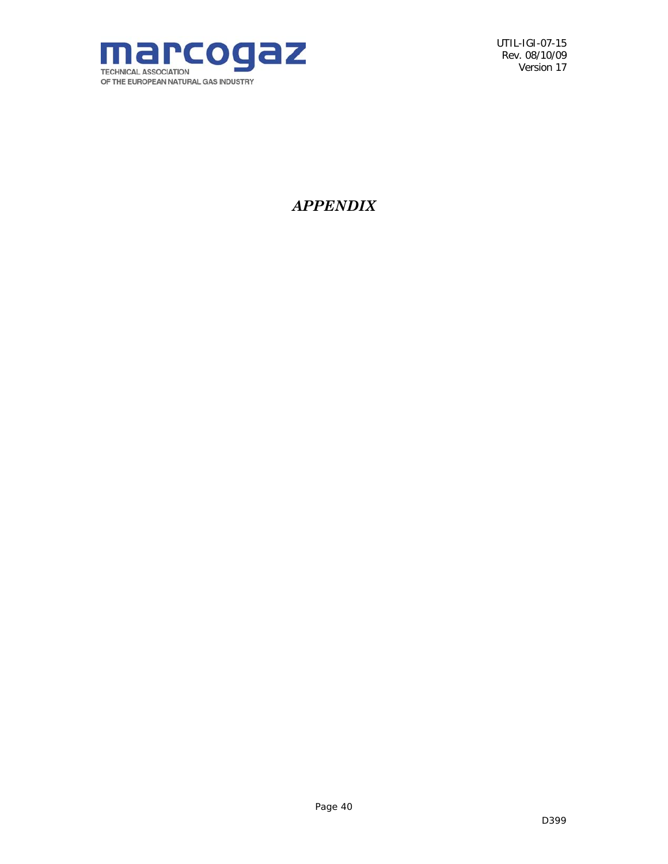

## *APPENDIX*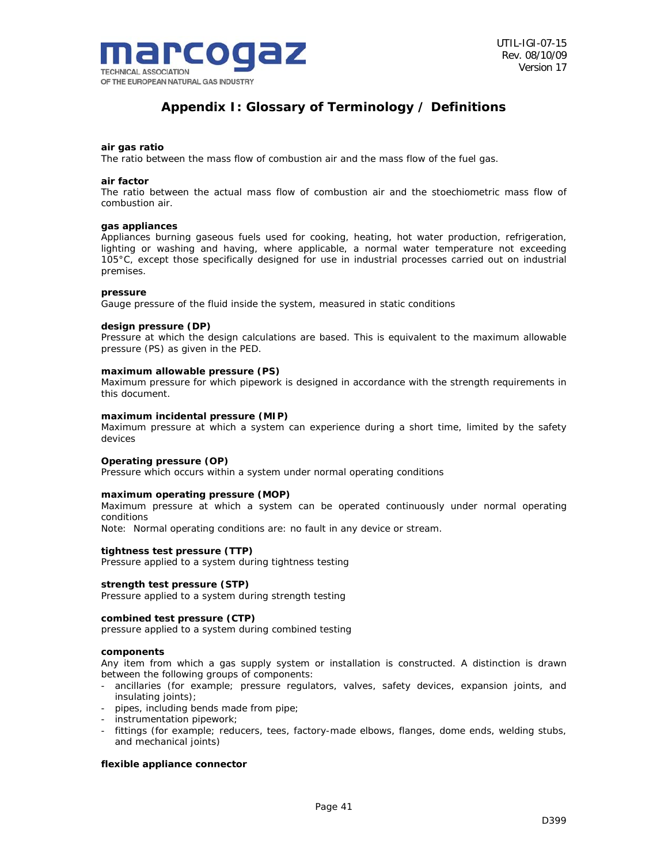

## *Appendix I: Glossary of Terminology / Definitions*

#### **air gas ratio**

The ratio between the mass flow of combustion air and the mass flow of the fuel gas.

#### **air factor**

The ratio between the actual mass flow of combustion air and the stoechiometric mass flow of combustion air.

#### **gas appliances**

Appliances burning gaseous fuels used for cooking, heating, hot water production, refrigeration, lighting or washing and having, where applicable, a normal water temperature not exceeding 105°C, except those specifically designed for use in industrial processes carried out on industrial premises.

#### **pressure**

Gauge pressure of the fluid inside the system, measured in static conditions

#### **design pressure (DP)**

Pressure at which the design calculations are based. This is equivalent to the maximum allowable pressure (PS) as given in the PED.

#### **maximum allowable pressure (PS)**

Maximum pressure for which pipework is designed in accordance with the strength requirements in this document.

#### **maximum incidental pressure (MIP)**

Maximum pressure at which a system can experience during a short time, limited by the safety devices

#### **Operating pressure (OP)**

Pressure which occurs within a system under normal operating conditions

#### **maximum operating pressure (MOP)**

Maximum pressure at which a system can be operated continuously under normal operating conditions

Note: Normal operating conditions are: no fault in any device or stream.

#### **tightness test pressure (TTP)**

Pressure applied to a system during tightness testing

#### **strength test pressure (STP)**

Pressure applied to a system during strength testing

#### **combined test pressure (CTP)**

pressure applied to a system during combined testing

#### **components**

Any item from which a gas supply system or installation is constructed. A distinction is drawn between the following groups of components:

- ancillaries (for example; pressure regulators, valves, safety devices, expansion joints, and insulating joints);
- pipes, including bends made from pipe;
- instrumentation pipework;
- fittings (for example; reducers, tees, factory-made elbows, flanges, dome ends, welding stubs, and mechanical joints)

#### **flexible appliance connector**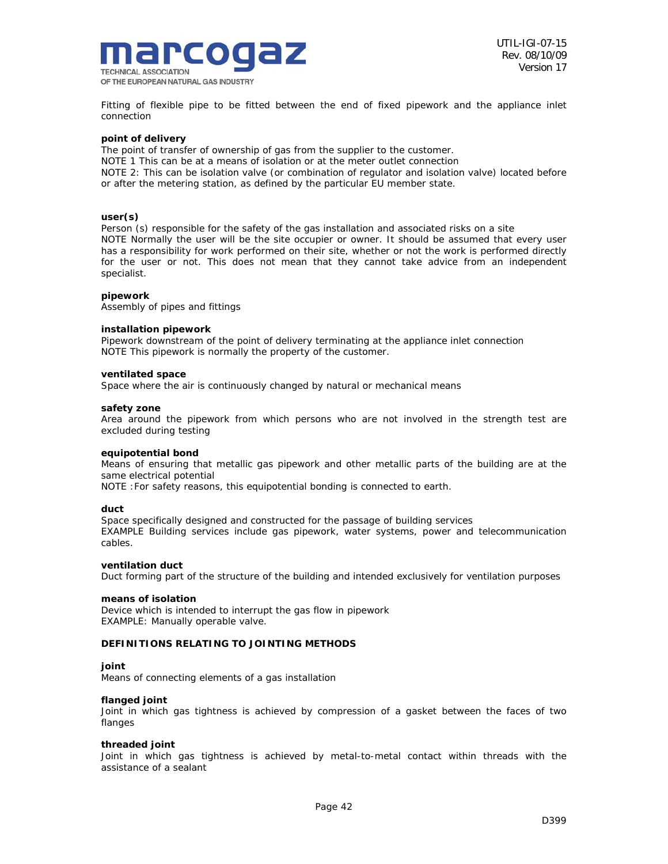

Fitting of flexible pipe to be fitted between the end of fixed pipework and the appliance inlet connection

#### **point of delivery**

The point of transfer of ownership of gas from the supplier to the customer. NOTE 1 This can be at a means of isolation or at the meter outlet connection NOTE 2: This can be isolation valve (or combination of regulator and isolation valve) located before or after the metering station, as defined by the particular EU member state.

#### **user(s)**

Person (s) responsible for the safety of the gas installation and associated risks on a site NOTE Normally the user will be the site occupier or owner. It should be assumed that every user has a responsibility for work performed on their site, whether or not the work is performed directly for the user or not. This does not mean that they cannot take advice from an independent specialist.

#### **pipework**

Assembly of pipes and fittings

#### **installation pipework**

Pipework downstream of the point of delivery terminating at the appliance inlet connection NOTE This pipework is normally the property of the customer.

#### **ventilated space**

Space where the air is continuously changed by natural or mechanical means

#### **safety zone**

Area around the pipework from which persons who are not involved in the strength test are excluded during testing

#### **equipotential bond**

Means of ensuring that metallic gas pipework and other metallic parts of the building are at the same electrical potential

NOTE :For safety reasons, this equipotential bonding is connected to earth.

#### **duct**

Space specifically designed and constructed for the passage of building services EXAMPLE Building services include gas pipework, water systems, power and telecommunication cables.

#### **ventilation duct**

Duct forming part of the structure of the building and intended exclusively for ventilation purposes

#### **means of isolation**

Device which is intended to interrupt the gas flow in pipework EXAMPLE: Manually operable valve.

#### **DEFINITIONS RELATING TO JOINTING METHODS**

#### **joint**

Means of connecting elements of a gas installation

#### **flanged joint**

Joint in which gas tightness is achieved by compression of a gasket between the faces of two flanges

#### **threaded joint**

Joint in which gas tightness is achieved by metal-to-metal contact within threads with the assistance of a sealant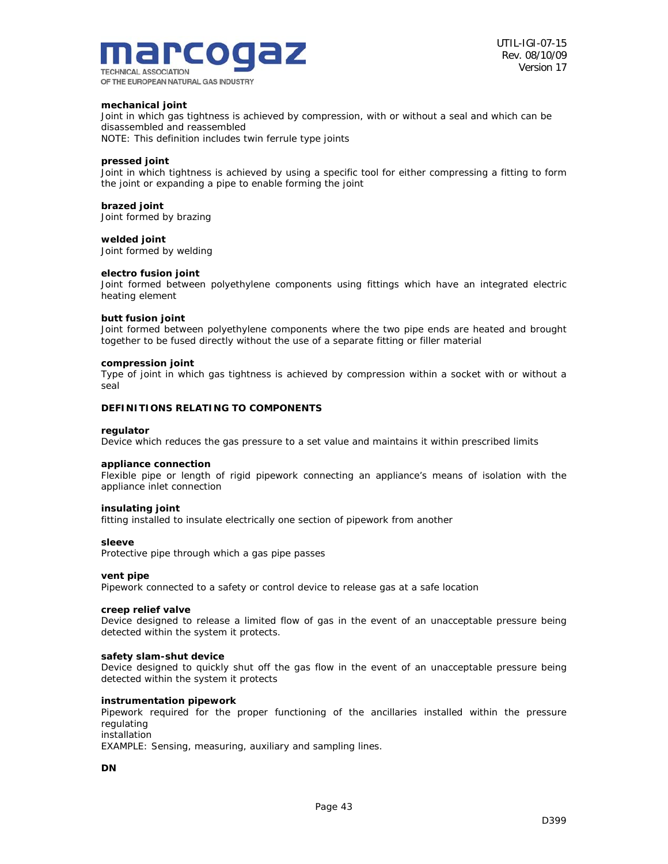

#### **mechanical joint**

Joint in which gas tightness is achieved by compression, with or without a seal and which can be disassembled and reassembled

NOTE: This definition includes twin ferrule type joints

#### **pressed joint**

Joint in which tightness is achieved by using a specific tool for either compressing a fitting to form the joint or expanding a pipe to enable forming the joint

#### **brazed joint**

Joint formed by brazing

#### **welded joint**

Joint formed by welding

#### **electro fusion joint**

Joint formed between polyethylene components using fittings which have an integrated electric heating element

#### **butt fusion joint**

Joint formed between polyethylene components where the two pipe ends are heated and brought together to be fused directly without the use of a separate fitting or filler material

#### **compression joint**

Type of joint in which gas tightness is achieved by compression within a socket with or without a seal

#### **DEFINITIONS RELATING TO COMPONENTS**

#### **regulator**

Device which reduces the gas pressure to a set value and maintains it within prescribed limits

#### **appliance connection**

Flexible pipe or length of rigid pipework connecting an appliance's means of isolation with the appliance inlet connection

#### **insulating joint**

fitting installed to insulate electrically one section of pipework from another

#### **sleeve**

Protective pipe through which a gas pipe passes

#### **vent pipe**

Pipework connected to a safety or control device to release gas at a safe location

#### **creep relief valve**

Device designed to release a limited flow of gas in the event of an unacceptable pressure being detected within the system it protects.

#### **safety slam-shut device**

Device designed to quickly shut off the gas flow in the event of an unacceptable pressure being detected within the system it protects

#### **instrumentation pipework**

Pipework required for the proper functioning of the ancillaries installed within the pressure regulating installation

EXAMPLE: Sensing, measuring, auxiliary and sampling lines.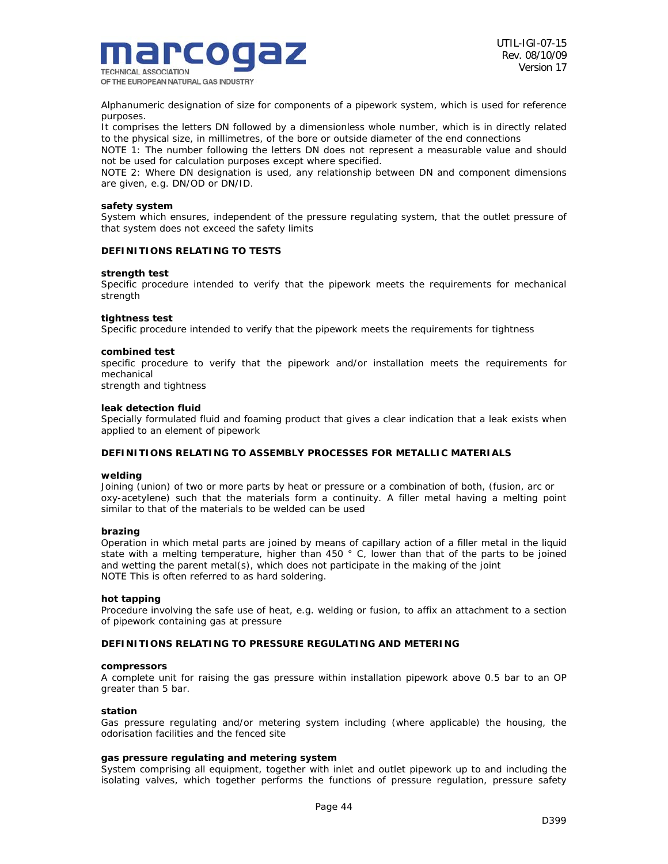

Alphanumeric designation of size for components of a pipework system, which is used for reference purposes.

It comprises the letters DN followed by a dimensionless whole number, which is in directly related to the physical size, in millimetres, of the bore or outside diameter of the end connections

NOTE 1: The number following the letters DN does not represent a measurable value and should not be used for calculation purposes except where specified.

NOTE 2: Where DN designation is used, any relationship between DN and component dimensions are given, e.g. DN/OD or DN/ID.

#### **safety system**

System which ensures, independent of the pressure regulating system, that the outlet pressure of that system does not exceed the safety limits

#### **DEFINITIONS RELATING TO TESTS**

#### **strength test**

Specific procedure intended to verify that the pipework meets the requirements for mechanical strength

#### **tightness test**

Specific procedure intended to verify that the pipework meets the requirements for tightness

#### **combined test**

specific procedure to verify that the pipework and/or installation meets the requirements for mechanical

strength and tightness

#### **leak detection fluid**

Specially formulated fluid and foaming product that gives a clear indication that a leak exists when applied to an element of pipework

#### **DEFINITIONS RELATING TO ASSEMBLY PROCESSES FOR METALLIC MATERIALS**

#### **welding**

Joining (union) of two or more parts by heat or pressure or a combination of both, (fusion, arc or oxy-acetylene) such that the materials form a continuity. A filler metal having a melting point similar to that of the materials to be welded can be used

#### **brazing**

Operation in which metal parts are joined by means of capillary action of a filler metal in the liquid state with a melting temperature, higher than 450 ° C, lower than that of the parts to be joined and wetting the parent metal(s), which does not participate in the making of the joint NOTE This is often referred to as hard soldering.

#### **hot tapping**

Procedure involving the safe use of heat, e.g. welding or fusion, to affix an attachment to a section of pipework containing gas at pressure

#### **DEFINITIONS RELATING TO PRESSURE REGULATING AND METERING**

#### **compressors**

A complete unit for raising the gas pressure within installation pipework above 0.5 bar to an OP greater than 5 bar.

#### **station**

Gas pressure regulating and/or metering system including (where applicable) the housing, the odorisation facilities and the fenced site

#### **gas pressure regulating and metering system**

System comprising all equipment, together with inlet and outlet pipework up to and including the isolating valves, which together performs the functions of pressure regulation, pressure safety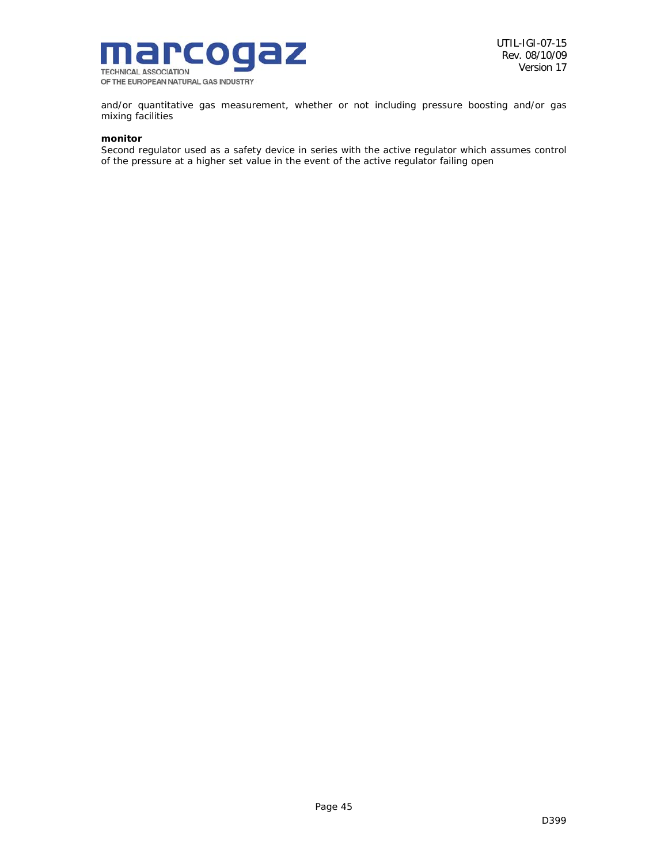

and/or quantitative gas measurement, whether or not including pressure boosting and/or gas mixing facilities

## **monitor**

Second regulator used as a safety device in series with the active regulator which assumes control of the pressure at a higher set value in the event of the active regulator failing open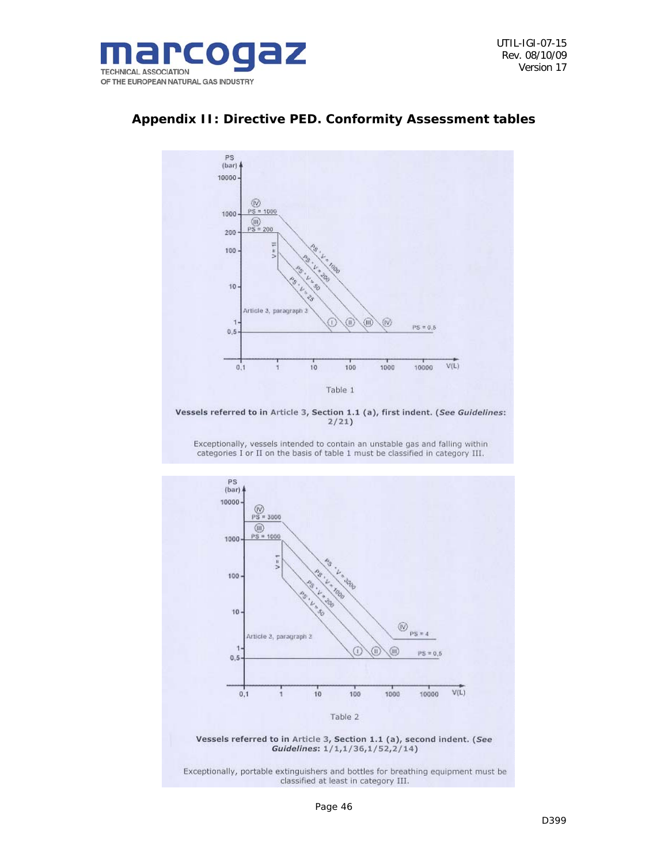



## *Appendix II: Directive PED. Conformity Assessment tables*



Exceptionally, vessels intended to contain an unstable gas and falling within categories I or II on the basis of table 1 must be classified in category III.



Exceptionally, portable extinguishers and bottles for breathing equipment must be classified at least in category III.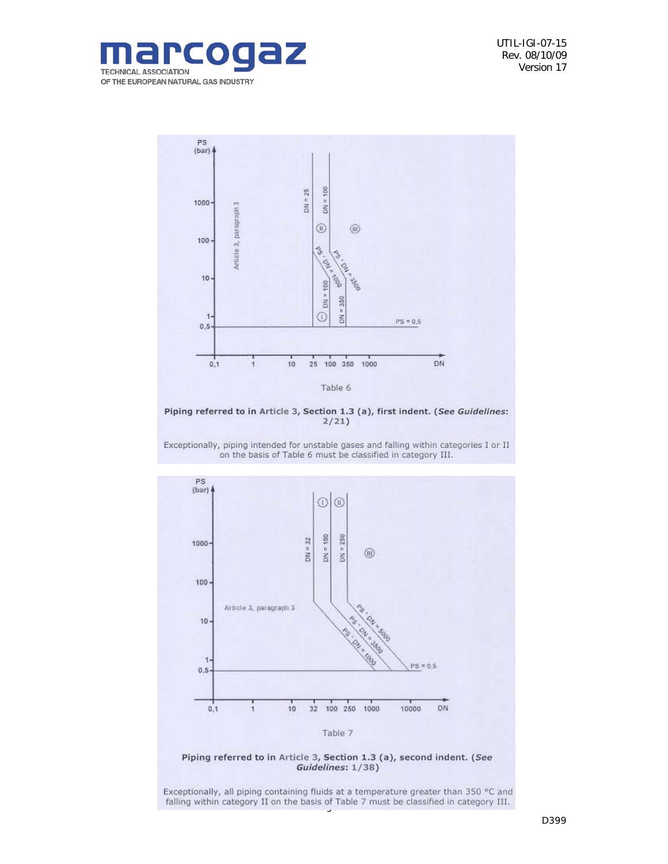



Piping referred to in Article 3, Section 1.3 (a), first indent. (See Guidelines:  $2/21$ 

Exceptionally, piping intended for unstable gases and falling within categories I or II on the basis of Table 6 must be classified in category III.





Exceptionally, all piping containing fluids at a temperature greater than 350 °C and falling within category II on the basis of Table 7 must be classified in category III.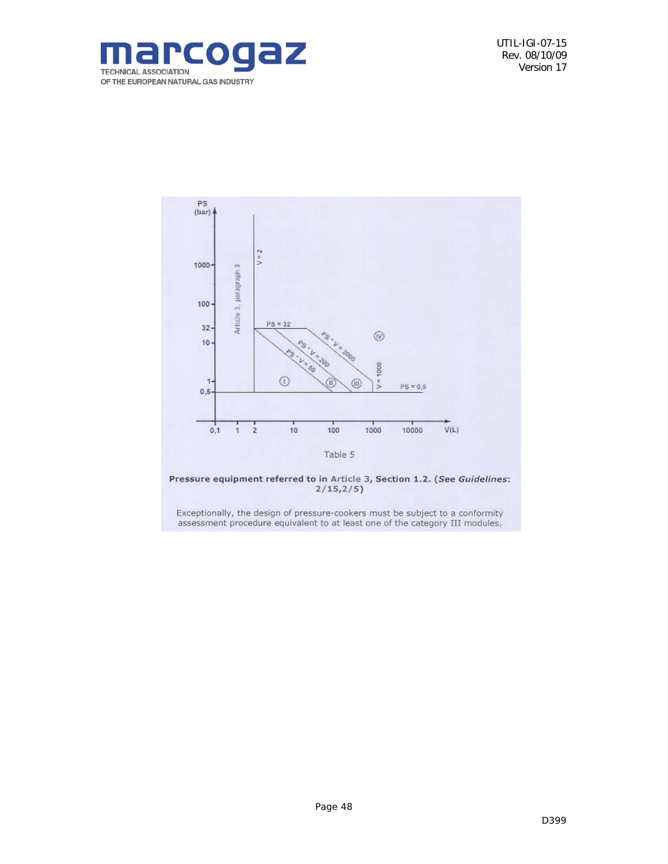



Pressure equipment referred to in Article 3, Section 1.2. (See Guidelines:<br> $2/15,2/5)$ 

Exceptionally, the design of pressure-cookers must be subject to a conformity assessment procedure equivalent to at least one of the category III modules.